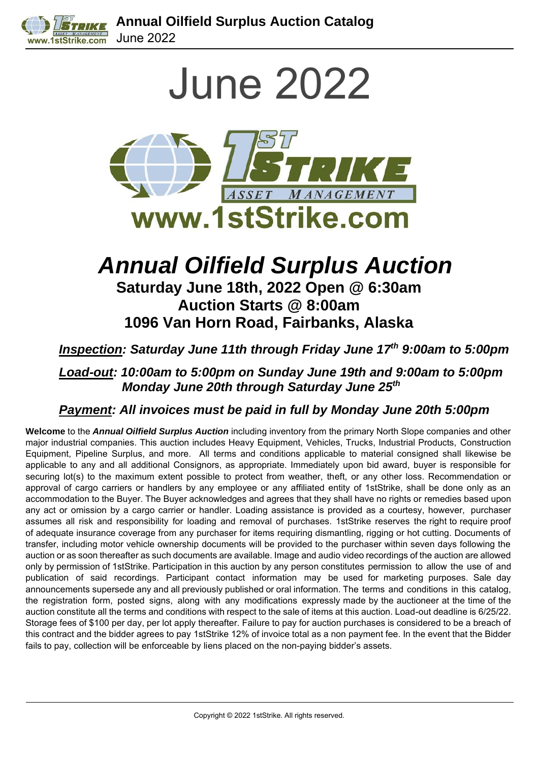

June 2022



# *Annual Oilfield Surplus Auction* **Saturday June 18th, 2022 Open @ 6:30am**

**Auction Starts @ 8:00am 1096 Van Horn Road, Fairbanks, Alaska**

*Inspection: Saturday June 11th through Friday June 17th 9:00am to 5:00pm*

*Load-out: 10:00am to 5:00pm on Sunday June 19th and 9:00am to 5:00pm Monday June 20th through Saturday June 25th*

*Payment: All invoices must be paid in full by Monday June 20th 5:00pm*

**Welcome** to the *Annual Oilfield Surplus Auction* including inventory from the primary North Slope companies and other major industrial companies. This auction includes Heavy Equipment, Vehicles, Trucks, Industrial Products, Construction Equipment, Pipeline Surplus, and more. All terms and conditions applicable to material consigned shall likewise be applicable to any and all additional Consignors, as appropriate. Immediately upon bid award, buyer is responsible for securing lot(s) to the maximum extent possible to protect from weather, theft, or any other loss. Recommendation or approval of cargo carriers or handlers by any employee or any affiliated entity of 1stStrike, shall be done only as an accommodation to the Buyer. The Buyer acknowledges and agrees that they shall have no rights or remedies based upon any act or omission by a cargo carrier or handler. Loading assistance is provided as a courtesy, however, purchaser assumes all risk and responsibility for loading and removal of purchases. 1stStrike reserves the right to require proof of adequate insurance coverage from any purchaser for items requiring dismantling, rigging or hot cutting. Documents of transfer, including motor vehicle ownership documents will be provided to the purchaser within seven days following the auction or as soon thereafter as such documents are available. Image and audio video recordings of the auction are allowed only by permission of 1stStrike. Participation in this auction by any person constitutes permission to allow the use of and publication of said recordings. Participant contact information may be used for marketing purposes. Sale day announcements supersede any and all previously published or oral information. The terms and conditions in this catalog, the registration form, posted signs, along with any modifications expressly made by the auctioneer at the time of the auction constitute all the terms and conditions with respect to the sale of items at this auction. Load-out deadline is 6/25/22. Storage fees of \$100 per day, per lot apply thereafter. Failure to pay for auction purchases is considered to be a breach of this contract and the bidder agrees to pay 1stStrike 12% of invoice total as a non payment fee. In the event that the Bidder fails to pay, collection will be enforceable by liens placed on the non-paying bidder's assets.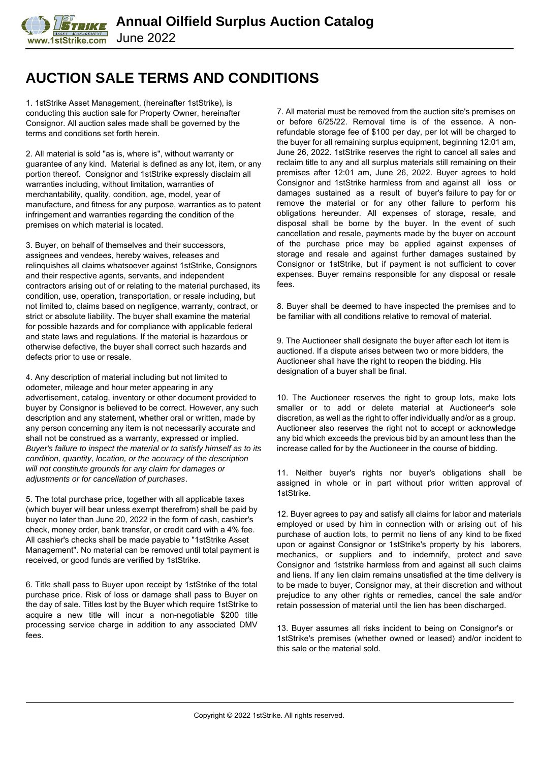#### **AUCTION SALE TERMS AND CONDITIONS**

1. 1stStrike Asset Management, (hereinafter 1stStrike), is conducting this auction sale for Property Owner, hereinafter Consignor. All auction sales made shall be governed by the terms and conditions set forth herein.

2. All material is sold "as is, where is", without warranty or guarantee of any kind. Material is defined as any lot, item, or any portion thereof. Consignor and 1stStrike expressly disclaim all warranties including, without limitation, warranties of merchantability, quality, condition, age, model, year of manufacture, and fitness for any purpose, warranties as to patent infringement and warranties regarding the condition of the premises on which material is located.

3. Buyer, on behalf of themselves and their successors, assignees and vendees, hereby waives, releases and relinquishes all claims whatsoever against 1stStrike, Consignors and their respective agents, servants, and independent contractors arising out of or relating to the material purchased, its condition, use, operation, transportation, or resale including, but not limited to, claims based on negligence, warranty, contract, or strict or absolute liability. The buyer shall examine the material for possible hazards and for compliance with applicable federal and state laws and regulations. If the material is hazardous or otherwise defective, the buyer shall correct such hazards and defects prior to use or resale.

4. Any description of material including but not limited to odometer, mileage and hour meter appearing in any advertisement, catalog, inventory or other document provided to buyer by Consignor is believed to be correct. However, any such description and any statement, whether oral or written, made by any person concerning any item is not necessarily accurate and shall not be construed as a warranty, expressed or implied. *Buyer's failure to inspect the material or to satisfy himself as to its condition, quantity, location, or the accuracy of the description will not constitute grounds for any claim for damages or adjustments or for cancellation of purchases*.

5. The total purchase price, together with all applicable taxes (which buyer will bear unless exempt therefrom) shall be paid by buyer no later than June 20, 2022 in the form of cash, cashier's check, money order, bank transfer, or credit card with a 4% fee. All cashier's checks shall be made payable to "1stStrike Asset Management". No material can be removed until total payment is received, or good funds are verified by 1stStrike.

6. Title shall pass to Buyer upon receipt by 1stStrike of the total purchase price. Risk of loss or damage shall pass to Buyer on the day of sale. Titles lost by the Buyer which require 1stStrike to acquire a new title will incur a non-negotiable \$200 title processing service charge in addition to any associated DMV fees.

7. All material must be removed from the auction site's premises on or before 6/25/22. Removal time is of the essence. A nonrefundable storage fee of \$100 per day, per lot will be charged to the buyer for all remaining surplus equipment, beginning 12:01 am, June 26, 2022. 1stStrike reserves the right to cancel all sales and reclaim title to any and all surplus materials still remaining on their premises after 12:01 am, June 26, 2022. Buyer agrees to hold Consignor and 1stStrike harmless from and against all loss or damages sustained as a result of buyer's failure to pay for or remove the material or for any other failure to perform his obligations hereunder. All expenses of storage, resale, and disposal shall be borne by the buyer. In the event of such cancellation and resale, payments made by the buyer on account of the purchase price may be applied against expenses of storage and resale and against further damages sustained by Consignor or 1stStrike, but if payment is not sufficient to cover expenses. Buyer remains responsible for any disposal or resale fees.

8. Buyer shall be deemed to have inspected the premises and to be familiar with all conditions relative to removal of material.

9. The Auctioneer shall designate the buyer after each lot item is auctioned. If a dispute arises between two or more bidders, the Auctioneer shall have the right to reopen the bidding. His designation of a buyer shall be final.

10. The Auctioneer reserves the right to group lots, make lots smaller or to add or delete material at Auctioneer's sole discretion, as well as the right to offer individually and/or as a group. Auctioneer also reserves the right not to accept or acknowledge any bid which exceeds the previous bid by an amount less than the increase called for by the Auctioneer in the course of bidding.

11. Neither buyer's rights nor buyer's obligations shall be assigned in whole or in part without prior written approval of 1stStrike.

12. Buyer agrees to pay and satisfy all claims for labor and materials employed or used by him in connection with or arising out of his purchase of auction lots, to permit no liens of any kind to be fixed upon or against Consignor or 1stStrike's property by his laborers, mechanics, or suppliers and to indemnify, protect and save Consignor and 1ststrike harmless from and against all such claims and liens. If any lien claim remains unsatisfied at the time delivery is to be made to buyer, Consignor may, at their discretion and without prejudice to any other rights or remedies, cancel the sale and/or retain possession of material until the lien has been discharged.

13. Buyer assumes all risks incident to being on Consignor's or 1stStrike's premises (whether owned or leased) and/or incident to this sale or the material sold.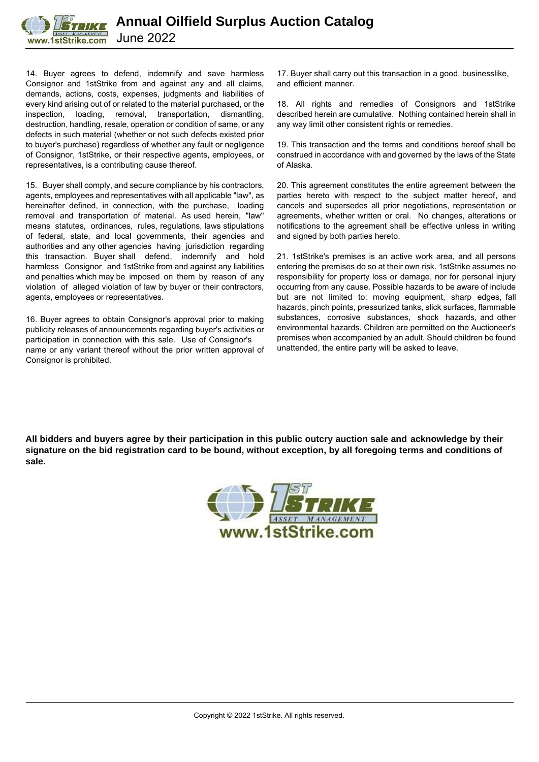

14. Buyer agrees to defend, indemnify and save harmless Consignor and 1stStrike from and against any and all claims, demands, actions, costs, expenses, judgments and liabilities of every kind arising out of or related to the material purchased, or the inspection, loading, removal, transportation, dismantling, destruction, handling, resale, operation or condition of same, or any defects in such material (whether or not such defects existed prior to buyer's purchase) regardless of whether any fault or negligence of Consignor, 1stStrike, or their respective agents, employees, or representatives, is a contributing cause thereof.

15. Buyer shall comply, and secure compliance by his contractors, agents, employees and representatives with all applicable "law", as hereinafter defined, in connection, with the purchase, loading removal and transportation of material. As used herein, "law" means statutes, ordinances, rules, regulations, laws stipulations of federal, state, and local governments, their agencies and authorities and any other agencies having jurisdiction regarding this transaction. Buyer shall defend, indemnify and hold harmless Consignor and 1stStrike from and against any liabilities and penalties which may be imposed on them by reason of any violation of alleged violation of law by buyer or their contractors, agents, employees or representatives.

16. Buyer agrees to obtain Consignor's approval prior to making publicity releases of announcements regarding buyer's activities or participation in connection with this sale. Use of Consignor's name or any variant thereof without the prior written approval of Consignor is prohibited.

17. Buyer shall carry out this transaction in a good, businesslike, and efficient manner.

18. All rights and remedies of Consignors and 1stStrike described herein are cumulative. Nothing contained herein shall in any way limit other consistent rights or remedies.

19. This transaction and the terms and conditions hereof shall be construed in accordance with and governed by the laws of the State of Alaska.

20. This agreement constitutes the entire agreement between the parties hereto with respect to the subject matter hereof, and cancels and supersedes all prior negotiations, representation or agreements, whether written or oral. No changes, alterations or notifications to the agreement shall be effective unless in writing and signed by both parties hereto.

21. 1stStrike's premises is an active work area, and all persons entering the premises do so at their own risk. 1stStrike assumes no responsibility for property loss or damage, nor for personal injury occurring from any cause. Possible hazards to be aware of include but are not limited to: moving equipment, sharp edges, fall hazards, pinch points, pressurized tanks, slick surfaces, flammable substances, corrosive substances, shock hazards, and other environmental hazards. Children are permitted on the Auctioneer's premises when accompanied by an adult. Should children be found unattended, the entire party will be asked to leave.

**All bidders and buyers agree by their participation in this public outcry auction sale and acknowledge by their signature on the bid registration card to be bound, without exception, by all foregoing terms and conditions of sale.**

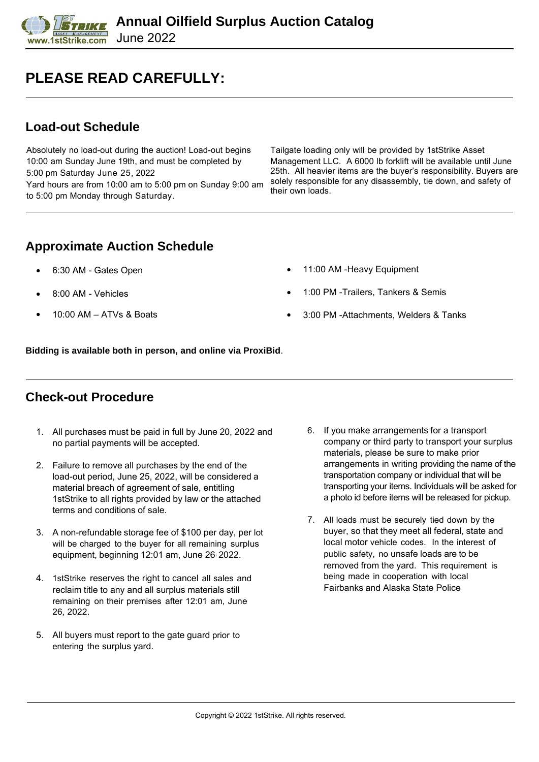#### **PLEASE READ CAREFULLY:**

#### **Load-out Schedule**

Absolutely no load-out during the auction! Load-out begins 10:00 am Sunday June 19th, and must be completed by 5:00 pm Saturday June 25, 2022 Yard hours are from 10:00 am to 5:00 pm on Sunday 9:00 am to 5:00 pm Monday through Saturday.

Tailgate loading only will be provided by 1stStrike Asset Management LLC. A 6000 lb forklift will be available until June 25th. All heavier items are the buyer's responsibility. Buyers are solely responsible for any disassembly, tie down, and safety of their own loads.

#### **Approximate Auction Schedule**

- 6:30 AM Gates Open
- 8:00 AM Vehicles
- $10:00$  AM ATVs & Boats
- 11:00 AM -Heavy Equipment
- 1:00 PM -Trailers, Tankers & Semis
- 3:00 PM -Attachments, Welders & Tanks

**Bidding is available both in person, and online via ProxiBid**.

#### **Check-out Procedure**

- 1. All purchases must be paid in full by June 20, 2022 and no partial payments will be accepted.
- 2. Failure to remove all purchases by the end of the load-out period, June 25, 2022, will be considered a material breach of agreement of sale, entitling 1stStrike to all rights provided by law or the attached terms and conditions of sale.
- 3. A non-refundable storage fee of \$100 per day, per lot will be charged to the buyer for all remaining surplus equipment, beginning 12:01 am, June 26, 2022.
- 4. 1stStrike reserves the right to cancel all sales and reclaim title to any and all surplus materials still remaining on their premises after 12:01 am, June 26, 2022.
- 5. All buyers must report to the gate guard prior to entering the surplus yard.
- 6. If you make arrangements for a transport company or third party to transport your surplus materials, please be sure to make prior arrangements in writing providing the name of the transportation company or individual that will be transporting your items. Individuals will be asked for a photo id before items will be released for pickup.
- 7. All loads must be securely tied down by the buyer, so that they meet all federal, state and local motor vehicle codes. In the interest of public safety, no unsafe loads are to be removed from the yard. This requirement is being made in cooperation with local Fairbanks and Alaska State Police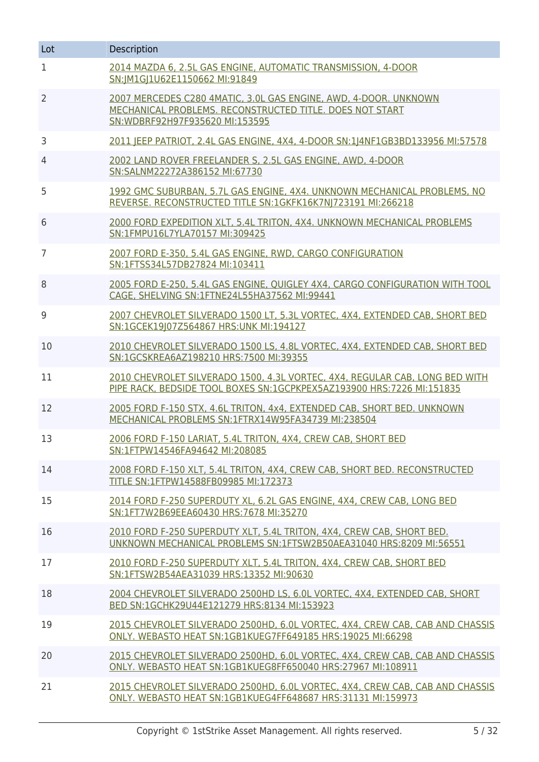| Lot            | Description                                                                                                                                                    |
|----------------|----------------------------------------------------------------------------------------------------------------------------------------------------------------|
| $\mathbf 1$    | 2014 MAZDA 6, 2.5L GAS ENGINE, AUTOMATIC TRANSMISSION, 4-DOOR<br>SN:JM1GJ1U62E1150662 MI:91849                                                                 |
| $\overline{2}$ | 2007 MERCEDES C280 4MATIC, 3.0L GAS ENGINE, AWD, 4-DOOR. UNKNOWN<br>MECHANICAL PROBLEMS. RECONSTRUCTED TITLE. DOES NOT START<br>SN:WDBRF92H97F935620 MI:153595 |
| 3              | 2011 JEEP PATRIOT, 2.4L GAS ENGINE, 4X4, 4-DOOR SN:1 4NF1GB3BD133956 MI:57578                                                                                  |
| $\overline{4}$ | 2002 LAND ROVER FREELANDER S, 2.5L GAS ENGINE, AWD, 4-DOOR<br>SN:SALNM22272A386152 MI:67730                                                                    |
| 5              | 1992 GMC SUBURBAN, 5.7L GAS ENGINE, 4X4. UNKNOWN MECHANICAL PROBLEMS, NO<br>REVERSE. RECONSTRUCTED TITLE SN:1GKFK16K7NJ723191 MI:266218                        |
| 6              | 2000 FORD EXPEDITION XLT, 5.4L TRITON, 4X4. UNKNOWN MECHANICAL PROBLEMS<br>SN:1FMPU16L7YLA70157 MI:309425                                                      |
| $\overline{7}$ | 2007 FORD E-350, 5.4L GAS ENGINE, RWD, CARGO CONFIGURATION<br>SN:1FTSS34L57DB27824 MI:103411                                                                   |
| 8              | 2005 FORD E-250, 5.4L GAS ENGINE, QUIGLEY 4X4, CARGO CONFIGURATION WITH TOOL<br>CAGE, SHELVING SN:1FTNE24L55HA37562 MI:99441                                   |
| 9              | 2007 CHEVROLET SILVERADO 1500 LT, 5.3L VORTEC, 4X4, EXTENDED CAB, SHORT BED<br>SN:1GCEK19 07Z564867 HRS:UNK MI:194127                                          |
| 10             | 2010 CHEVROLET SILVERADO 1500 LS, 4.8L VORTEC, 4X4, EXTENDED CAB, SHORT BED<br>SN:1GCSKREA6AZ198210 HRS:7500 MI:39355                                          |
| 11             | 2010 CHEVROLET SILVERADO 1500, 4.3L VORTEC, 4X4, REGULAR CAB, LONG BED WITH<br>PIPE RACK, BEDSIDE TOOL BOXES SN:1GCPKPEX5AZ193900 HRS:7226 MI:151835           |
| 12             | 2005 FORD F-150 STX, 4.6L TRITON, 4x4, EXTENDED CAB, SHORT BED. UNKNOWN<br>MECHANICAL PROBLEMS SN:1FTRX14W95FA34739 MI:238504                                  |
| 13             | 2006 FORD F-150 LARIAT, 5.4L TRITON, 4X4, CREW CAB, SHORT BED<br>SN:1FTPW14546FA94642 MI:208085                                                                |
| 14             | 2008 FORD F-150 XLT, 5.4L TRITON, 4X4, CREW CAB, SHORT BED. RECONSTRUCTED<br>TITLE SN:1FTPW14588FB09985 MI:172373                                              |
| 15             | 2014 FORD F-250 SUPERDUTY XL, 6.2L GAS ENGINE, 4X4, CREW CAB, LONG BED<br>SN:1FT7W2B69EEA60430 HRS:7678 MI:35270                                               |
| 16             | 2010 FORD F-250 SUPERDUTY XLT, 5.4L TRITON, 4X4, CREW CAB, SHORT BED.<br>UNKNOWN MECHANICAL PROBLEMS SN:1FTSW2B50AEA31040 HRS:8209 MI:56551                    |
| 17             | 2010 FORD F-250 SUPERDUTY XLT, 5.4L TRITON, 4X4, CREW CAB, SHORT BED<br>SN:1FTSW2B54AEA31039 HRS:13352 MI:90630                                                |
| 18             | 2004 CHEVROLET SILVERADO 2500HD LS, 6.0L VORTEC, 4X4, EXTENDED CAB, SHORT<br>BED SN:1GCHK29U44E121279 HRS:8134 MI:153923                                       |
| 19             | 2015 CHEVROLET SILVERADO 2500HD, 6.0L VORTEC, 4X4, CREW CAB, CAB AND CHASSIS<br>ONLY, WEBASTO HEAT SN:1GB1KUEG7FF649185 HRS:19025 MI:66298                     |
| 20             | 2015 CHEVROLET SILVERADO 2500HD, 6.0L VORTEC, 4X4, CREW CAB, CAB AND CHASSIS<br>ONLY, WEBASTO HEAT SN:1GB1KUEG8FF650040 HRS:27967 MI:108911                    |
| 21             | 2015 CHEVROLET SILVERADO 2500HD, 6.0L VORTEC, 4X4, CREW CAB, CAB AND CHASSIS<br>ONLY. WEBASTO HEAT SN:1GB1KUEG4FF648687 HRS:31131 MI:159973                    |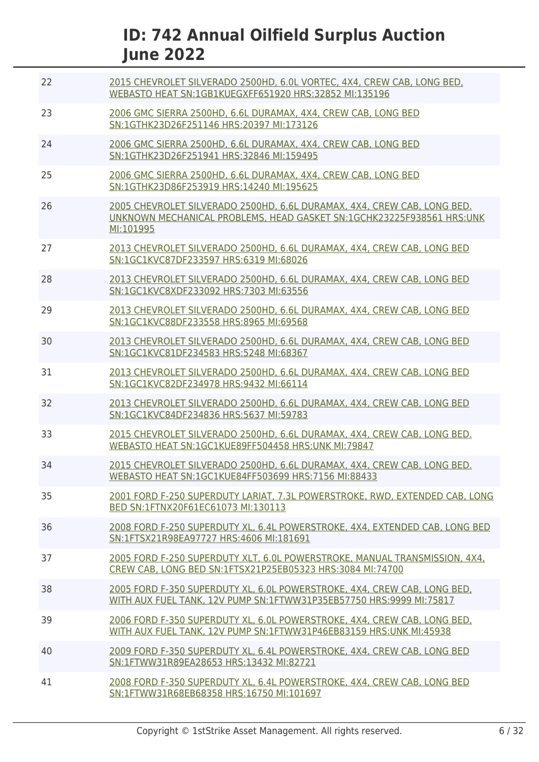| 22 | 2015 CHEVROLET SILVERADO 2500HD, 6.0L VORTEC, 4X4, CREW CAB, LONG BED,<br>WEBASTO HEAT SN:1GB1KUEGXFF651920 HRS:32852 MI:135196                               |
|----|---------------------------------------------------------------------------------------------------------------------------------------------------------------|
| 23 | 2006 GMC SIERRA 2500HD, 6.6L DURAMAX, 4X4, CREW CAB, LONG BED<br>SN:1GTHK23D26F251146 HRS:20397 MI:173126                                                     |
| 24 | 2006 GMC SIERRA 2500HD, 6.6L DURAMAX, 4X4, CREW CAB, LONG BED<br>SN:1GTHK23D26F251941 HRS:32846 MI:159495                                                     |
| 25 | 2006 GMC SIERRA 2500HD, 6.6L DURAMAX, 4X4, CREW CAB, LONG BED<br>SN:1GTHK23D86F253919 HRS:14240 MI:195625                                                     |
| 26 | 2005 CHEVROLET SILVERADO 2500HD, 6.6L DURAMAX, 4X4, CREW CAB, LONG BED.<br>UNKNOWN MECHANICAL PROBLEMS, HEAD GASKET SN:1GCHK23225F938561 HRS:UNK<br>MI:101995 |
| 27 | 2013 CHEVROLET SILVERADO 2500HD, 6.6L DURAMAX, 4X4, CREW CAB, LONG BED<br>SN:1GC1KVC87DF233597 HRS:6319 MI:68026                                              |
| 28 | 2013 CHEVROLET SILVERADO 2500HD, 6.6L DURAMAX, 4X4, CREW CAB, LONG BED<br>SN:1GC1KVC8XDF233092 HRS:7303 MI:63556                                              |
| 29 | 2013 CHEVROLET SILVERADO 2500HD, 6.6L DURAMAX, 4X4, CREW CAB, LONG BED<br>SN:1GC1KVC88DF233558 HRS:8965 MI:69568                                              |
| 30 | 2013 CHEVROLET SILVERADO 2500HD, 6.6L DURAMAX, 4X4, CREW CAB, LONG BED<br>SN:1GC1KVC81DF234583 HRS:5248 MI:68367                                              |
| 31 | 2013 CHEVROLET SILVERADO 2500HD, 6.6L DURAMAX, 4X4, CREW CAB, LONG BED<br>SN:1GC1KVC82DF234978 HRS:9432 MI:66114                                              |
| 32 | 2013 CHEVROLET SILVERADO 2500HD, 6.6L DURAMAX, 4X4, CREW CAB, LONG BED<br>SN:1GC1KVC84DF234836 HRS:5637 MI:59783                                              |
| 33 | 2015 CHEVROLET SILVERADO 2500HD, 6.6L DURAMAX, 4X4, CREW CAB, LONG BED.<br>WEBASTO HEAT SN:1GC1KUE89FF504458 HRS:UNK MI:79847                                 |
| 34 | 2015 CHEVROLET SILVERADO 2500HD, 6.6L DURAMAX, 4X4, CREW CAB, LONG BED.<br>WEBASTO HEAT SN:1GC1KUE84FF503699 HRS:7156 MI:88433                                |
| 35 | 2001 FORD F-250 SUPERDUTY LARIAT, 7.3L POWERSTROKE, RWD, EXTENDED CAB, LONG<br>BED SN:1FTNX20F61EC61073 MI:130113                                             |
| 36 | 2008 FORD F-250 SUPERDUTY XL, 6.4L POWERSTROKE, 4X4, EXTENDED CAB, LONG BED<br>SN:1FTSX21R98EA97727 HRS:4606 MI:181691                                        |
| 37 | 2005 FORD F-250 SUPERDUTY XLT, 6.0L POWERSTROKE, MANUAL TRANSMISSION, 4X4,<br>CREW CAB. LONG BED SN:1FTSX21P25EB05323 HRS:3084 MI:74700                       |
| 38 | 2005 FORD F-350 SUPERDUTY XL, 6.0L POWERSTROKE, 4X4, CREW CAB, LONG BED,<br>WITH AUX FUEL TANK, 12V PUMP SN:1FTWW31P35EB57750 HRS:9999 MI:75817               |
| 39 | 2006 FORD F-350 SUPERDUTY XL, 6.0L POWERSTROKE, 4X4, CREW CAB, LONG BED,<br>WITH AUX FUEL TANK, 12V PUMP SN:1FTWW31P46EB83159 HRS:UNK MI:45938                |
| 40 | 2009 FORD F-350 SUPERDUTY XL, 6.4L POWERSTROKE, 4X4, CREW CAB, LONG BED<br>SN:1FTWW31R89EA28653 HRS:13432 MI:82721                                            |
| 41 | 2008 FORD F-350 SUPERDUTY XL, 6.4L POWERSTROKE, 4X4, CREW CAB, LONG BED<br>SN:1FTWW31R68EB68358 HRS:16750 MI:101697                                           |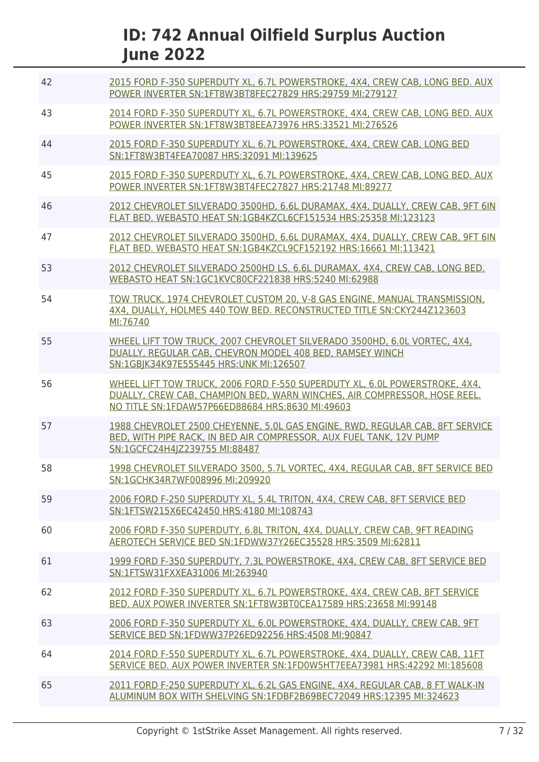| 42 | 2015 FORD F-350 SUPERDUTY XL, 6.7L POWERSTROKE, 4X4, CREW CAB, LONG BED, AUX<br>POWER INVERTER SN:1FT8W3BT8FEC27829 HRS:29759 MI:279127                                                                   |
|----|-----------------------------------------------------------------------------------------------------------------------------------------------------------------------------------------------------------|
| 43 | 2014 FORD F-350 SUPERDUTY XL, 6.7L POWERSTROKE, 4X4, CREW CAB, LONG BED. AUX<br>POWER INVERTER SN:1FT8W3BT8EEA73976 HRS:33521 MI:276526                                                                   |
| 44 | 2015 FORD F-350 SUPERDUTY XL, 6.7L POWERSTROKE, 4X4, CREW CAB, LONG BED<br>SN:1FT8W3BT4FEA70087 HRS:32091 MI:139625                                                                                       |
| 45 | 2015 FORD F-350 SUPERDUTY XL, 6.7L POWERSTROKE, 4X4, CREW CAB, LONG BED, AUX<br>POWER INVERTER SN:1FT8W3BT4FEC27827 HRS:21748 MI:89277                                                                    |
| 46 | 2012 CHEVROLET SILVERADO 3500HD, 6.6L DURAMAX, 4X4, DUALLY, CREW CAB, 9FT 6IN<br>FLAT BED. WEBASTO HEAT SN:1GB4KZCL6CF151534 HRS:25358 MI:123123                                                          |
| 47 | 2012 CHEVROLET SILVERADO 3500HD, 6.6L DURAMAX, 4X4, DUALLY, CREW CAB, 9FT 6IN<br>FLAT BED. WEBASTO HEAT SN:1GB4KZCL9CF152192 HRS:16661 MI:113421                                                          |
| 53 | 2012 CHEVROLET SILVERADO 2500HD LS, 6.6L DURAMAX, 4X4, CREW CAB, LONG BED.<br>WEBASTO HEAT SN:1GC1KVC80CF221838 HRS:5240 MI:62988                                                                         |
| 54 | TOW TRUCK, 1974 CHEVROLET CUSTOM 20, V-8 GAS ENGINE, MANUAL TRANSMISSION,<br>4X4, DUALLY, HOLMES 440 TOW BED, RECONSTRUCTED TITLE SN:CKY244Z123603<br>MI:76740                                            |
| 55 | WHEEL LIFT TOW TRUCK, 2007 CHEVROLET SILVERADO 3500HD, 6.0L VORTEC, 4X4,<br>DUALLY, REGULAR CAB, CHEVRON MODEL 408 BED, RAMSEY WINCH<br>SN:1GBJK34K97E555445 HRS:UNK MI:126507                            |
| 56 | WHEEL LIFT TOW TRUCK, 2006 FORD F-550 SUPERDUTY XL, 6.0L POWERSTROKE, 4X4,<br>DUALLY, CREW CAB, CHAMPION BED, WARN WINCHES, AIR COMPRESSOR, HOSE REEL.<br>NO TITLE SN:1FDAW57P66ED88684 HRS:8630 MI:49603 |
| 57 | 1988 CHEVROLET 2500 CHEYENNE, 5.0L GAS ENGINE, RWD, REGULAR CAB, 8FT SERVICE<br>BED, WITH PIPE RACK, IN BED AIR COMPRESSOR, AUX FUEL TANK, 12V PUMP<br>SN:1GCFC24H4JZ239755 MI:88487                      |
| 58 | 1998 CHEVROLET SILVERADO 3500, 5.7L VORTEC, 4X4, REGULAR CAB, 8FT SERVICE BED<br>SN:1GCHK34R7WF008996 MI:209920                                                                                           |
| 59 | 2006 FORD F-250 SUPERDUTY XL, 5.4L TRITON, 4X4, CREW CAB, 8FT SERVICE BED<br>SN:1FTSW215X6EC42450 HRS:4180 MI:108743                                                                                      |
| 60 | 2006 FORD F-350 SUPERDUTY, 6.8L TRITON, 4X4, DUALLY, CREW CAB, 9FT READING<br>AEROTECH SERVICE BED SN:1FDWW37Y26EC35528 HRS:3509 MI:62811                                                                 |
| 61 | 1999 FORD F-350 SUPERDUTY, 7.3L POWERSTROKE, 4X4, CREW CAB, 8FT SERVICE BED<br>SN:1FTSW31FXXEA31006 MI:263940                                                                                             |
| 62 | 2012 FORD F-350 SUPERDUTY XL, 6.7L POWERSTROKE, 4X4, CREW CAB, 8FT SERVICE<br>BED, AUX POWER INVERTER SN:1FT8W3BT0CEA17589 HRS:23658 MI:99148                                                             |
| 63 | 2006 FORD F-350 SUPERDUTY XL, 6.0L POWERSTROKE, 4X4, DUALLY, CREW CAB, 9FT<br>SERVICE BED SN:1FDWW37P26ED92256 HRS:4508 MI:90847                                                                          |
| 64 | 2014 FORD F-550 SUPERDUTY XL, 6.7L POWERSTROKE, 4X4, DUALLY, CREW CAB, 11FT<br>SERVICE BED, AUX POWER INVERTER SN:1FD0W5HT7EEA73981 HRS:42292 MI:185608                                                   |
| 65 | 2011 FORD F-250 SUPERDUTY XL, 6.2L GAS ENGINE, 4X4, REGULAR CAB, 8 FT WALK-IN<br>ALUMINUM BOX WITH SHELVING SN:1FDBF2B69BEC72049 HRS:12395 MI:324623                                                      |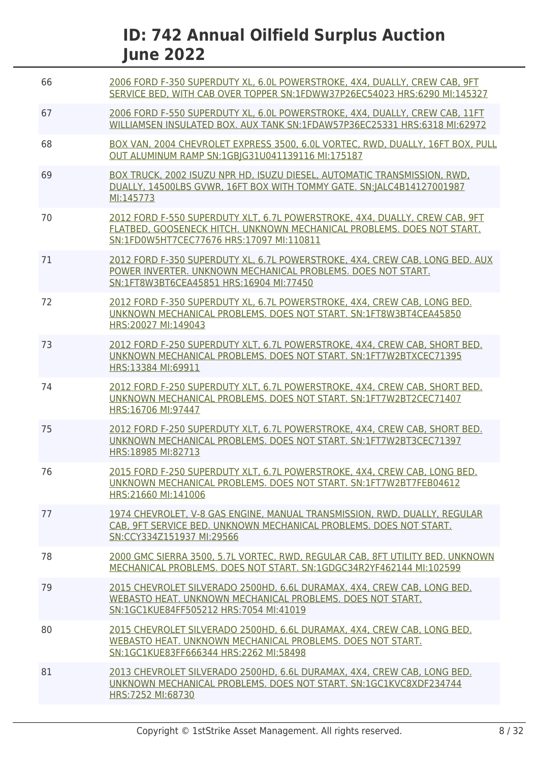| 66 | 2006 FORD F-350 SUPERDUTY XL, 6.0L POWERSTROKE, 4X4, DUALLY, CREW CAB, 9FT<br>SERVICE BED. WITH CAB OVER TOPPER SN:1FDWW37P26EC54023 HRS:6290 MI:145327                                           |
|----|---------------------------------------------------------------------------------------------------------------------------------------------------------------------------------------------------|
| 67 | 2006 FORD F-550 SUPERDUTY XL, 6.0L POWERSTROKE, 4X4, DUALLY, CREW CAB, 11FT<br>WILLIAMSEN INSULATED BOX, AUX TANK SN:1FDAW57P36EC25331 HRS:6318 MI:62972                                          |
| 68 | BOX VAN, 2004 CHEVROLET EXPRESS 3500, 6.0L VORTEC, RWD, DUALLY, 16FT BOX, PULL<br>OUT ALUMINUM RAMP SN:1GBIG31U041139116 MI:175187                                                                |
| 69 | BOX TRUCK, 2002 ISUZU NPR HD, ISUZU DIESEL, AUTOMATIC TRANSMISSION, RWD,<br>DUALLY, 14500LBS GVWR, 16FT BOX WITH TOMMY GATE, SN: ALC4B14127001987<br>MI:145773                                    |
| 70 | 2012 FORD F-550 SUPERDUTY XLT, 6.7L POWERSTROKE, 4X4, DUALLY, CREW CAB, 9FT<br>FLATBED, GOOSENECK HITCH. UNKNOWN MECHANICAL PROBLEMS. DOES NOT START.<br>SN:1FD0W5HT7CEC77676 HRS:17097 MI:110811 |
| 71 | 2012 FORD F-350 SUPERDUTY XL, 6.7L POWERSTROKE, 4X4, CREW CAB, LONG BED. AUX<br>POWER INVERTER. UNKNOWN MECHANICAL PROBLEMS. DOES NOT START.<br>SN:1FT8W3BT6CEA45851 HRS:16904 MI:77450           |
| 72 | 2012 FORD F-350 SUPERDUTY XL, 6.7L POWERSTROKE, 4X4, CREW CAB, LONG BED.<br>UNKNOWN MECHANICAL PROBLEMS. DOES NOT START. SN:1FT8W3BT4CEA45850<br>HRS:20027 MI:149043                              |
| 73 | 2012 FORD F-250 SUPERDUTY XLT, 6.7L POWERSTROKE, 4X4, CREW CAB, SHORT BED.<br>UNKNOWN MECHANICAL PROBLEMS, DOES NOT START, SN:1FT7W2BTXCEC71395<br>HRS:13384 MI:69911                             |
| 74 | 2012 FORD F-250 SUPERDUTY XLT, 6.7L POWERSTROKE, 4X4, CREW CAB, SHORT BED.<br>UNKNOWN MECHANICAL PROBLEMS. DOES NOT START. SN:1FT7W2BT2CEC71407<br>HRS:16706 MI:97447                             |
| 75 | 2012 FORD F-250 SUPERDUTY XLT, 6.7L POWERSTROKE, 4X4, CREW CAB, SHORT BED.<br>UNKNOWN MECHANICAL PROBLEMS. DOES NOT START. SN:1FT7W2BT3CEC71397<br>HRS:18985 MI:82713                             |
| 76 | 2015 FORD F-250 SUPERDUTY XLT, 6.7L POWERSTROKE, 4X4, CREW CAB, LONG BED.<br>UNKNOWN MECHANICAL PROBLEMS. DOES NOT START. SN:1FT7W2BT7FEB04612<br>HRS:21660 MI:141006                             |
| 77 | 1974 CHEVROLET, V-8 GAS ENGINE, MANUAL TRANSMISSION, RWD, DUALLY, REGULAR<br>CAB. 9FT SERVICE BED. UNKNOWN MECHANICAL PROBLEMS. DOES NOT START.<br>SN:CCY334Z151937 MI:29566                      |
| 78 | 2000 GMC SIERRA 3500, 5.7L VORTEC, RWD, REGULAR CAB, 8FT UTILITY BED, UNKNOWN<br>MECHANICAL PROBLEMS, DOES NOT START, SN:1GDGC34R2YF462144 MI:102599                                              |
| 79 | 2015 CHEVROLET SILVERADO 2500HD, 6.6L DURAMAX, 4X4, CREW CAB, LONG BED.<br>WEBASTO HEAT. UNKNOWN MECHANICAL PROBLEMS. DOES NOT START.<br>SN:1GC1KUE84FF505212 HRS:7054 MI:41019                   |
| 80 | 2015 CHEVROLET SILVERADO 2500HD, 6.6L DURAMAX, 4X4, CREW CAB, LONG BED.<br>WEBASTO HEAT. UNKNOWN MECHANICAL PROBLEMS. DOES NOT START.<br>SN:1GC1KUE83FF666344 HRS:2262 MI:58498                   |
| 81 | 2013 CHEVROLET SILVERADO 2500HD, 6.6L DURAMAX, 4X4, CREW CAB, LONG BED.<br>UNKNOWN MECHANICAL PROBLEMS. DOES NOT START. SN:1GC1KVC8XDF234744<br>HRS:7252 MI:68730                                 |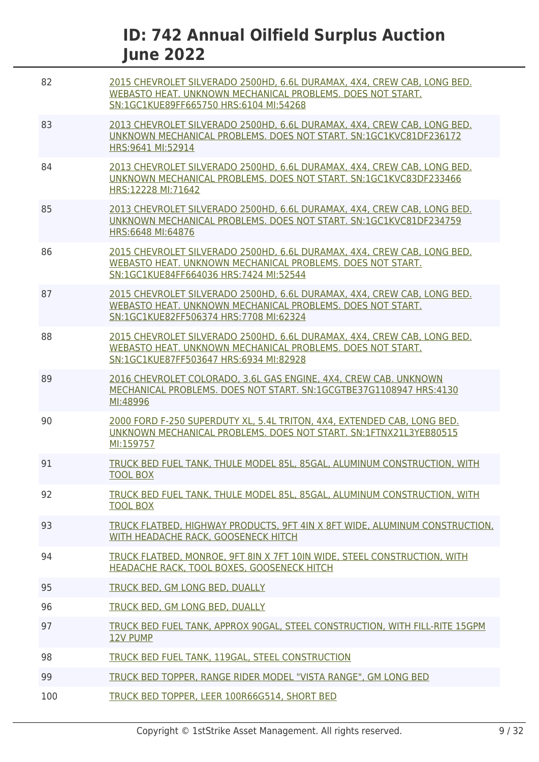| 82  | 2015 CHEVROLET SILVERADO 2500HD, 6.6L DURAMAX, 4X4, CREW CAB, LONG BED.<br>WEBASTO HEAT. UNKNOWN MECHANICAL PROBLEMS. DOES NOT START.<br>SN:1GC1KUE89FF665750 HRS:6104 MI:54268 |
|-----|---------------------------------------------------------------------------------------------------------------------------------------------------------------------------------|
| 83  | 2013 CHEVROLET SILVERADO 2500HD, 6.6L DURAMAX, 4X4, CREW CAB, LONG BED.<br>UNKNOWN MECHANICAL PROBLEMS. DOES NOT START. SN:1GC1KVC81DF236172<br>HRS: 9641 MI: 52914             |
| 84  | 2013 CHEVROLET SILVERADO 2500HD, 6.6L DURAMAX, 4X4, CREW CAB, LONG BED.<br>UNKNOWN MECHANICAL PROBLEMS. DOES NOT START. SN:1GC1KVC83DF233466<br>HRS:12228 MI:71642              |
| 85  | 2013 CHEVROLET SILVERADO 2500HD, 6.6L DURAMAX, 4X4, CREW CAB, LONG BED.<br>UNKNOWN MECHANICAL PROBLEMS, DOES NOT START, SN:1GC1KVC81DF234759<br>HRS:6648 MI:64876               |
| 86  | 2015 CHEVROLET SILVERADO 2500HD, 6.6L DURAMAX, 4X4, CREW CAB, LONG BED.<br>WEBASTO HEAT, UNKNOWN MECHANICAL PROBLEMS, DOES NOT START.<br>SN:1GC1KUE84FF664036 HRS:7424 MI:52544 |
| 87  | 2015 CHEVROLET SILVERADO 2500HD, 6.6L DURAMAX, 4X4, CREW CAB, LONG BED.<br>WEBASTO HEAT. UNKNOWN MECHANICAL PROBLEMS. DOES NOT START.<br>SN:1GC1KUE82FF506374 HRS:7708 MI:62324 |
| 88  | 2015 CHEVROLET SILVERADO 2500HD, 6.6L DURAMAX, 4X4, CREW CAB, LONG BED.<br>WEBASTO HEAT, UNKNOWN MECHANICAL PROBLEMS, DOES NOT START.<br>SN:1GC1KUE87FF503647 HRS:6934 MI:82928 |
| 89  | 2016 CHEVROLET COLORADO, 3.6L GAS ENGINE, 4X4, CREW CAB, UNKNOWN<br>MECHANICAL PROBLEMS. DOES NOT START. SN:1GCGTBE37G1108947 HRS:4130<br>MI:48996                              |
| 90  | 2000 FORD F-250 SUPERDUTY XL, 5.4L TRITON, 4X4, EXTENDED CAB, LONG BED.<br>UNKNOWN MECHANICAL PROBLEMS. DOES NOT START. SN:1FTNX21L3YEB80515<br>MI:159757                       |
| 91  | TRUCK BED FUEL TANK, THULE MODEL 85L, 85GAL, ALUMINUM CONSTRUCTION, WITH<br><b>TOOL BOX</b>                                                                                     |
| 92  | TRUCK BED FUEL TANK, THULE MODEL 85L, 85GAL, ALUMINUM CONSTRUCTION, WITH<br><b>TOOL BOX</b>                                                                                     |
| 93  | TRUCK FLATBED, HIGHWAY PRODUCTS, 9FT 4IN X 8FT WIDE, ALUMINUM CONSTRUCTION,<br>WITH HEADACHE RACK, GOOSENECK HITCH                                                              |
| 94  | TRUCK FLATBED, MONROE, 9FT 8IN X 7FT 10IN WIDE, STEEL CONSTRUCTION, WITH<br>HEADACHE RACK, TOOL BOXES, GOOSENECK HITCH                                                          |
| 95  | TRUCK BED, GM LONG BED, DUALLY                                                                                                                                                  |
| 96  | TRUCK BED, GM LONG BED, DUALLY                                                                                                                                                  |
| 97  | TRUCK BED FUEL TANK, APPROX 90GAL, STEEL CONSTRUCTION, WITH FILL-RITE 15GPM<br><b>12V PUMP</b>                                                                                  |
| 98  | TRUCK BED FUEL TANK, 119GAL, STEEL CONSTRUCTION                                                                                                                                 |
| 99  | TRUCK BED TOPPER, RANGE RIDER MODEL "VISTA RANGE", GM LONG BED                                                                                                                  |
| 100 | TRUCK BED TOPPER, LEER 100R66G514, SHORT BED                                                                                                                                    |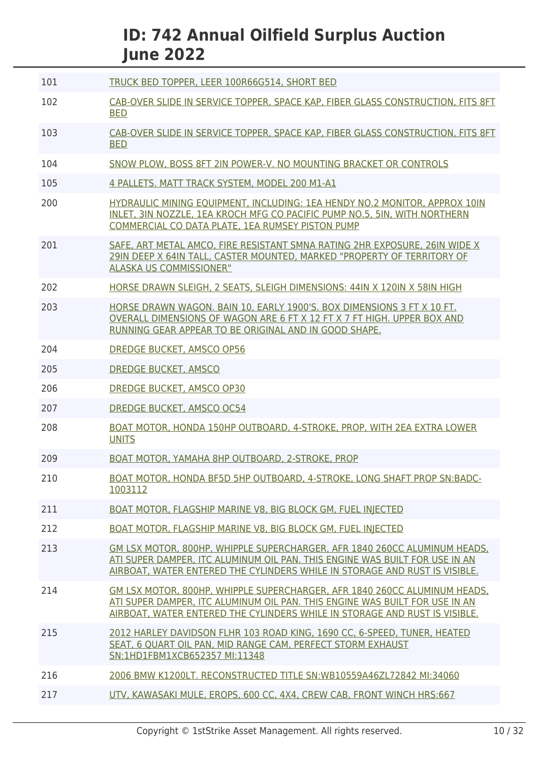| 101 | TRUCK BED TOPPER, LEER 100R66G514, SHORT BED                                                                                                                                                                                           |
|-----|----------------------------------------------------------------------------------------------------------------------------------------------------------------------------------------------------------------------------------------|
| 102 | CAB-OVER SLIDE IN SERVICE TOPPER, SPACE KAP, FIBER GLASS CONSTRUCTION, FITS 8FT<br><b>BED</b>                                                                                                                                          |
| 103 | CAB-OVER SLIDE IN SERVICE TOPPER, SPACE KAP, FIBER GLASS CONSTRUCTION, FITS 8FT<br><b>BED</b>                                                                                                                                          |
| 104 | SNOW PLOW, BOSS 8FT 2IN POWER-V. NO MOUNTING BRACKET OR CONTROLS                                                                                                                                                                       |
| 105 | 4 PALLETS. MATT TRACK SYSTEM, MODEL 200 M1-A1                                                                                                                                                                                          |
| 200 | HYDRAULIC MINING EQUIPMENT, INCLUDING: 1EA HENDY NO.2 MONITOR, APPROX 10IN<br>INLET, 3IN NOZZLE, 1EA KROCH MFG CO PACIFIC PUMP NO.5, 5IN, WITH NORTHERN<br>COMMERCIAL CO DATA PLATE, 1EA RUMSEY PISTON PUMP                            |
| 201 | SAFE, ART METAL AMCO, FIRE RESISTANT SMNA RATING 2HR EXPOSURE, 26IN WIDE X<br>29IN DEEP X 64IN TALL, CASTER MOUNTED, MARKED "PROPERTY OF TERRITORY OF<br><b>ALASKA US COMMISSIONER"</b>                                                |
| 202 | HORSE DRAWN SLEIGH, 2 SEATS, SLEIGH DIMENSIONS: 44IN X 120IN X 58IN HIGH                                                                                                                                                               |
| 203 | HORSE DRAWN WAGON. BAIN 10, EARLY 1900'S. BOX DIMENSIONS 3 FT X 10 FT.<br>OVERALL DIMENSIONS OF WAGON ARE 6 FT X 12 FT X 7 FT HIGH. UPPER BOX AND<br>RUNNING GEAR APPEAR TO BE ORIGINAL AND IN GOOD SHAPE.                             |
| 204 | <b>DREDGE BUCKET, AMSCO OP56</b>                                                                                                                                                                                                       |
| 205 | <b>DREDGE BUCKET, AMSCO</b>                                                                                                                                                                                                            |
| 206 | <b>DREDGE BUCKET, AMSCO OP30</b>                                                                                                                                                                                                       |
| 207 | DREDGE BUCKET, AMSCO OC54                                                                                                                                                                                                              |
| 208 | BOAT MOTOR, HONDA 150HP OUTBOARD, 4-STROKE, PROP, WITH 2EA EXTRA LOWER<br><b>UNITS</b>                                                                                                                                                 |
| 209 | BOAT MOTOR, YAMAHA 8HP OUTBOARD, 2-STROKE, PROP                                                                                                                                                                                        |
| 210 | BOAT MOTOR, HONDA BF5D 5HP OUTBOARD, 4-STROKE, LONG SHAFT PROP SN:BADC-<br>1003112                                                                                                                                                     |
| 211 | <b>BOAT MOTOR, FLAGSHIP MARINE V8, BIG BLOCK GM, FUEL INJECTED</b>                                                                                                                                                                     |
| 212 | <b>BOAT MOTOR, FLAGSHIP MARINE V8, BIG BLOCK GM, FUEL INJECTED</b>                                                                                                                                                                     |
| 213 | GM LSX MOTOR, 800HP, WHIPPLE SUPERCHARGER, AFR 1840 260CC ALUMINUM HEADS.<br>ATI SUPER DAMPER, ITC ALUMINUM OIL PAN. THIS ENGINE WAS BUILT FOR USE IN AN<br>AIRBOAT, WATER ENTERED THE CYLINDERS WHILE IN STORAGE AND RUST IS VISIBLE. |
| 214 | GM LSX MOTOR, 800HP, WHIPPLE SUPERCHARGER, AFR 1840 260CC ALUMINUM HEADS,<br>ATI SUPER DAMPER, ITC ALUMINUM OIL PAN. THIS ENGINE WAS BUILT FOR USE IN AN<br>AIRBOAT, WATER ENTERED THE CYLINDERS WHILE IN STORAGE AND RUST IS VISIBLE. |
| 215 | 2012 HARLEY DAVIDSON FLHR 103 ROAD KING, 1690 CC, 6-SPEED, TUNER, HEATED<br>SEAT, 6 OUART OIL PAN, MID RANGE CAM, PERFECT STORM EXHAUST<br>SN:1HD1FBM1XCB652357 MI:11348                                                               |
| 216 | 2006 BMW K1200LT. RECONSTRUCTED TITLE SN:WB10559A46ZL72842 MI:34060                                                                                                                                                                    |
| 217 | UTV, KAWASAKI MULE, EROPS, 600 CC, 4X4, CREW CAB, FRONT WINCH HRS:667                                                                                                                                                                  |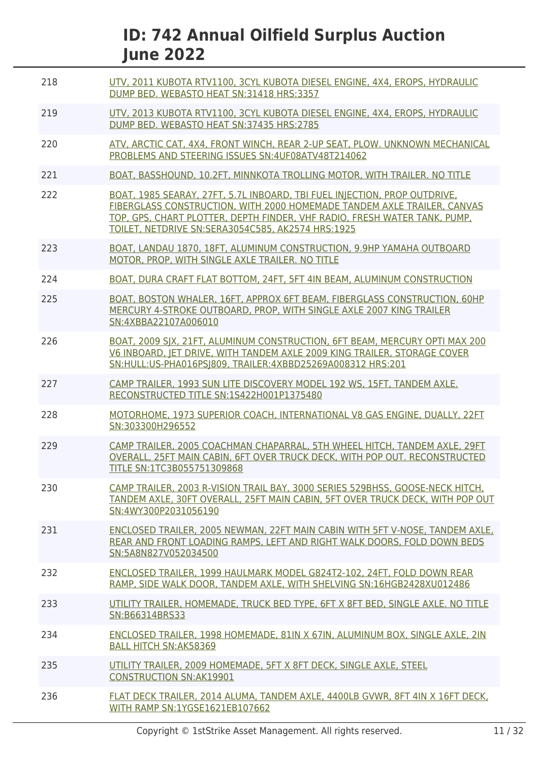| 218 | UTV, 2011 KUBOTA RTV1100, 3CYL KUBOTA DIESEL ENGINE, 4X4, EROPS, HYDRAULIC<br>DUMP BED. WEBASTO HEAT SN:31418 HRS:3357                                                                                                                                                                 |
|-----|----------------------------------------------------------------------------------------------------------------------------------------------------------------------------------------------------------------------------------------------------------------------------------------|
| 219 | UTV, 2013 KUBOTA RTV1100, 3CYL KUBOTA DIESEL ENGINE, 4X4, EROPS, HYDRAULIC<br>DUMP BED. WEBASTO HEAT SN:37435 HRS:2785                                                                                                                                                                 |
| 220 | ATV, ARCTIC CAT, 4X4, FRONT WINCH, REAR 2-UP SEAT, PLOW. UNKNOWN MECHANICAL<br>PROBLEMS AND STEERING ISSUES SN: 4UF08ATV48T214062                                                                                                                                                      |
| 221 | BOAT, BASSHOUND, 10.2FT, MINNKOTA TROLLING MOTOR, WITH TRAILER, NO TITLE                                                                                                                                                                                                               |
| 222 | BOAT, 1985 SEARAY, 27FT, 5.7L INBOARD, TBI FUEL INJECTION, PROP OUTDRIVE,<br>FIBERGLASS CONSTRUCTION, WITH 2000 HOMEMADE TANDEM AXLE TRAILER, CANVAS<br>TOP, GPS, CHART PLOTTER, DEPTH FINDER, VHF RADIO, FRESH WATER TANK, PUMP,<br>TOILET, NETDRIVE SN:SERA3054C585, AK2574 HRS:1925 |
| 223 | BOAT, LANDAU 1870, 18FT, ALUMINUM CONSTRUCTION, 9.9HP YAMAHA OUTBOARD<br>MOTOR, PROP, WITH SINGLE AXLE TRAILER. NO TITLE                                                                                                                                                               |
| 224 | BOAT, DURA CRAFT FLAT BOTTOM, 24FT, 5FT 4IN BEAM, ALUMINUM CONSTRUCTION                                                                                                                                                                                                                |
| 225 | BOAT, BOSTON WHALER, 16FT, APPROX 6FT BEAM, FIBERGLASS CONSTRUCTION, 60HP<br>MERCURY 4-STROKE OUTBOARD, PROP, WITH SINGLE AXLE 2007 KING TRAILER<br>SN:4XBBA22107A006010                                                                                                               |
| 226 | BOAT, 2009 SJX, 21FT, ALUMINUM CONSTRUCTION, 6FT BEAM, MERCURY OPTI MAX 200<br>V6 INBOARD, JET DRIVE, WITH TANDEM AXLE 2009 KING TRAILER, STORAGE COVER<br>SN:HULL:US-PHA016PSI809, TRAILER:4XBBD25269A008312 HRS:201                                                                  |
| 227 | CAMP TRAILER, 1993 SUN LITE DISCOVERY MODEL 192 WS, 15FT, TANDEM AXLE.<br>RECONSTRUCTED TITLE SN:1S422H001P1375480                                                                                                                                                                     |
| 228 | MOTORHOME, 1973 SUPERIOR COACH, INTERNATIONAL V8 GAS ENGINE, DUALLY, 22FT<br>SN:303300H296552                                                                                                                                                                                          |
| 229 | CAMP TRAILER, 2005 COACHMAN CHAPARRAL, 5TH WHEEL HITCH, TANDEM AXLE, 29FT<br>OVERALL, 25FT MAIN CABIN, 6FT OVER TRUCK DECK, WITH POP OUT. RECONSTRUCTED<br>TITLE SN:1TC3B055751309868                                                                                                  |
| 230 | CAMP TRAILER, 2003 R-VISION TRAIL BAY, 3000 SERIES 529BHSS, GOOSE-NECK HITCH,<br>TANDEM AXLE, 30FT OVERALL, 25FT MAIN CABIN, 5FT OVER TRUCK DECK, WITH POP OUT<br>SN:4WY300P2031056190                                                                                                 |
| 231 | ENCLOSED TRAILER, 2005 NEWMAN, 22FT MAIN CABIN WITH 5FT V-NOSE, TANDEM AXLE,<br>REAR AND FRONT LOADING RAMPS, LEFT AND RIGHT WALK DOORS, FOLD DOWN BEDS<br>SN:5A8N827V052034500                                                                                                        |
| 232 | ENCLOSED TRAILER. 1999 HAULMARK MODEL G824T2-102. 24FT. FOLD DOWN REAR<br>RAMP, SIDE WALK DOOR, TANDEM AXLE, WITH SHELVING SN:16HGB2428XU012486                                                                                                                                        |
| 233 | UTILITY TRAILER, HOMEMADE, TRUCK BED TYPE, 6FT X 8FT BED, SINGLE AXLE. NO TITLE<br>SN:B66314BRS33                                                                                                                                                                                      |
| 234 | ENCLOSED TRAILER, 1998 HOMEMADE, 81IN X 67IN, ALUMINUM BOX, SINGLE AXLE, 2IN<br><b>BALL HITCH SN:AK58369</b>                                                                                                                                                                           |
| 235 | UTILITY TRAILER, 2009 HOMEMADE, 5FT X 8FT DECK, SINGLE AXLE, STEEL<br><b>CONSTRUCTION SN:AK19901</b>                                                                                                                                                                                   |
| 236 | FLAT DECK TRAILER, 2014 ALUMA, TANDEM AXLE, 4400LB GVWR, 8FT 4IN X 16FT DECK,<br>WITH RAMP SN:1YGSE1621EB107662                                                                                                                                                                        |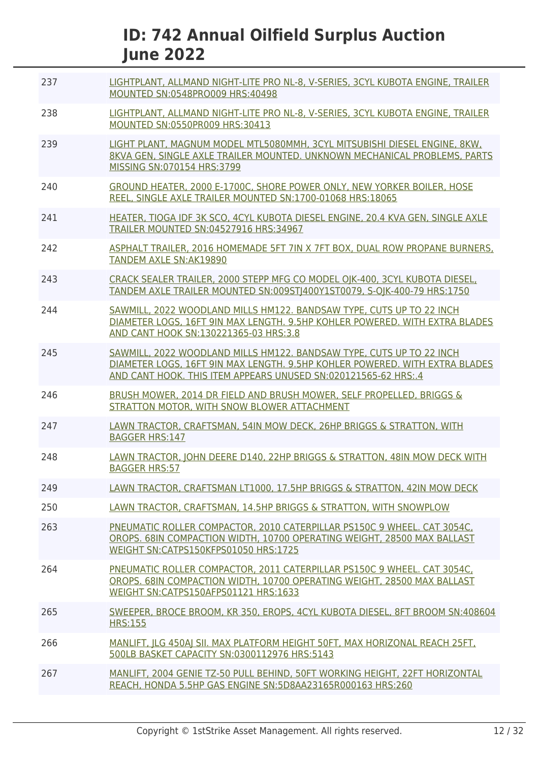| 237 | LIGHTPLANT, ALLMAND NIGHT-LITE PRO NL-8, V-SERIES, 3CYL KUBOTA ENGINE, TRAILER<br>MOUNTED SN:0548PRO009 HRS:40498                                                                                                     |
|-----|-----------------------------------------------------------------------------------------------------------------------------------------------------------------------------------------------------------------------|
| 238 | LIGHTPLANT, ALLMAND NIGHT-LITE PRO NL-8, V-SERIES, 3CYL KUBOTA ENGINE, TRAILER<br>MOUNTED SN:0550PR009 HRS:30413                                                                                                      |
| 239 | LIGHT PLANT, MAGNUM MODEL MTL5080MMH, 3CYL MITSUBISHI DIESEL ENGINE, 8KW,<br>8KVA GEN, SINGLE AXLE TRAILER MOUNTED. UNKNOWN MECHANICAL PROBLEMS, PARTS<br>MISSING SN:070154 HRS:3799                                  |
| 240 | GROUND HEATER, 2000 E-1700C, SHORE POWER ONLY, NEW YORKER BOILER, HOSE<br>REEL, SINGLE AXLE TRAILER MOUNTED SN:1700-01068 HRS:18065                                                                                   |
| 241 | HEATER, TIOGA IDF 3K SCO, 4CYL KUBOTA DIESEL ENGINE, 20.4 KVA GEN, SINGLE AXLE<br>TRAILER MOUNTED SN:04527916 HRS:34967                                                                                               |
| 242 | ASPHALT TRAILER, 2016 HOMEMADE 5FT 7IN X 7FT BOX, DUAL ROW PROPANE BURNERS,<br>TANDEM AXLE SN: AK19890                                                                                                                |
| 243 | CRACK SEALER TRAILER, 2000 STEPP MFG CO MODEL OIK-400, 3CYL KUBOTA DIESEL,<br>TANDEM AXLE TRAILER MOUNTED SN:009ST 400Y1ST0079, S-OJK-400-79 HRS:1750                                                                 |
| 244 | SAWMILL, 2022 WOODLAND MILLS HM122. BANDSAW TYPE, CUTS UP TO 22 INCH<br>DIAMETER LOGS, 16FT 9IN MAX LENGTH, 9.5HP KOHLER POWERED, WITH EXTRA BLADES<br>AND CANT HOOK SN:130221365-03 HRS:3.8                          |
| 245 | SAWMILL, 2022 WOODLAND MILLS HM122. BANDSAW TYPE, CUTS UP TO 22 INCH<br>DIAMETER LOGS, 16FT 9IN MAX LENGTH, 9.5HP KOHLER POWERED, WITH EXTRA BLADES<br>AND CANT HOOK. THIS ITEM APPEARS UNUSED SN:020121565-62 HRS:.4 |
| 246 | BRUSH MOWER, 2014 DR FIELD AND BRUSH MOWER, SELF PROPELLED, BRIGGS &<br>STRATTON MOTOR, WITH SNOW BLOWER ATTACHMENT                                                                                                   |
| 247 | LAWN TRACTOR, CRAFTSMAN, 54IN MOW DECK, 26HP BRIGGS & STRATTON, WITH<br><b>BAGGER HRS:147</b>                                                                                                                         |
| 248 | LAWN TRACTOR, JOHN DEERE D140, 22HP BRIGGS & STRATTON, 48IN MOW DECK WITH<br><b>BAGGER HRS:57</b>                                                                                                                     |
| 249 | LAWN TRACTOR, CRAFTSMAN LT1000, 17.5HP BRIGGS & STRATTON, 42IN MOW DECK                                                                                                                                               |
| 250 | LAWN TRACTOR, CRAFTSMAN, 14.5HP BRIGGS & STRATTON, WITH SNOWPLOW                                                                                                                                                      |
| 263 | PNEUMATIC ROLLER COMPACTOR, 2010 CATERPILLAR PS150C 9 WHEEL. CAT 3054C,<br>OROPS. 68IN COMPACTION WIDTH, 10700 OPERATING WEIGHT, 28500 MAX BALLAST<br>WEIGHT SN:CATPS150KFPS01050 HRS:1725                            |
| 264 | PNEUMATIC ROLLER COMPACTOR, 2011 CATERPILLAR PS150C 9 WHEEL, CAT 3054C,<br>OROPS. 68IN COMPACTION WIDTH, 10700 OPERATING WEIGHT, 28500 MAX BALLAST<br>WEIGHT SN:CATPS150AFPS01121 HRS:1633                            |
| 265 | SWEEPER, BROCE BROOM, KR 350, EROPS, 4CYL KUBOTA DIESEL, 8FT BROOM SN:408604<br><b>HRS:155</b>                                                                                                                        |
| 266 | MANLIFT, JLG 450AJ SII. MAX PLATFORM HEIGHT 50FT, MAX HORIZONAL REACH 25FT,<br>500LB BASKET CAPACITY SN:0300112976 HRS:5143                                                                                           |
| 267 | MANLIFT, 2004 GENIE TZ-50 PULL BEHIND, 50FT WORKING HEIGHT, 22FT HORIZONTAL<br>REACH, HONDA 5.5HP GAS ENGINE SN:5D8AA23165R000163 HRS:260                                                                             |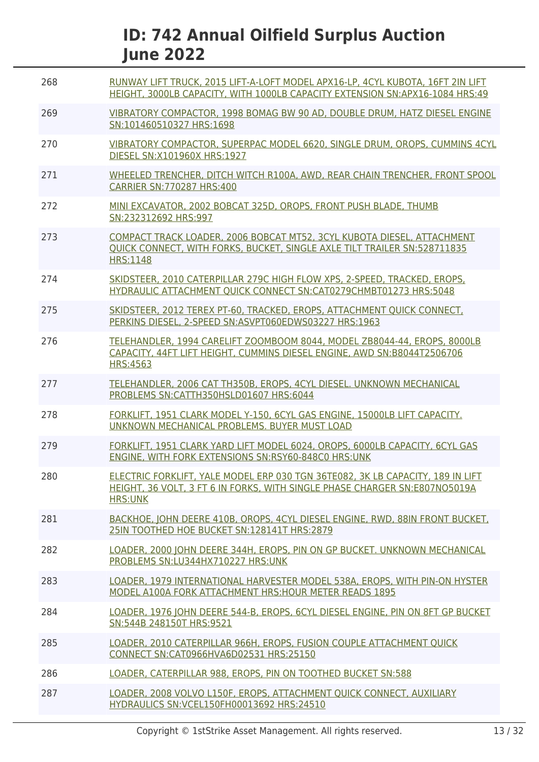| 268 | RUNWAY LIFT TRUCK, 2015 LIFT-A-LOFT MODEL APX16-LP, 4CYL KUBOTA, 16FT 2IN LIFT<br>HEIGHT, 3000LB CAPACITY, WITH 1000LB CAPACITY EXTENSION SN:APX16-1084 HRS:49                 |
|-----|--------------------------------------------------------------------------------------------------------------------------------------------------------------------------------|
| 269 | VIBRATORY COMPACTOR, 1998 BOMAG BW 90 AD, DOUBLE DRUM, HATZ DIESEL ENGINE<br>SN:101460510327 HRS:1698                                                                          |
| 270 | VIBRATORY COMPACTOR, SUPERPAC MODEL 6620, SINGLE DRUM, OROPS, CUMMINS 4CYL<br>DIESEL SN:X101960X HRS:1927                                                                      |
| 271 | WHEELED TRENCHER, DITCH WITCH R100A, AWD, REAR CHAIN TRENCHER, FRONT SPOOL<br><b>CARRIER SN:770287 HRS:400</b>                                                                 |
| 272 | MINI EXCAVATOR, 2002 BOBCAT 325D, OROPS, FRONT PUSH BLADE, THUMB<br>SN:232312692 HRS:997                                                                                       |
| 273 | COMPACT TRACK LOADER, 2006 BOBCAT MT52, 3CYL KUBOTA DIESEL, ATTACHMENT<br>OUICK CONNECT. WITH FORKS. BUCKET. SINGLE AXLE TILT TRAILER SN: 528711835<br><b>HRS:1148</b>         |
| 274 | SKIDSTEER, 2010 CATERPILLAR 279C HIGH FLOW XPS, 2-SPEED, TRACKED, EROPS,<br>HYDRAULIC ATTACHMENT OUICK CONNECT SN:CAT0279CHMBT01273 HRS:5048                                   |
| 275 | SKIDSTEER, 2012 TEREX PT-60, TRACKED, EROPS, ATTACHMENT QUICK CONNECT,<br>PERKINS DIESEL, 2-SPEED SN:ASVPT060EDWS03227 HRS:1963                                                |
| 276 | TELEHANDLER, 1994 CARELIFT ZOOMBOOM 8044, MODEL ZB8044-44, EROPS, 8000LB<br>CAPACITY, 44FT LIFT HEIGHT, CUMMINS DIESEL ENGINE, AWD SN:B8044T2506706<br><b>HRS:4563</b>         |
| 277 | TELEHANDLER, 2006 CAT TH350B, EROPS, 4CYL DIESEL. UNKNOWN MECHANICAL<br>PROBLEMS SN:CATTH350HSLD01607 HRS:6044                                                                 |
| 278 | FORKLIFT, 1951 CLARK MODEL Y-150, 6CYL GAS ENGINE, 15000LB LIFT CAPACITY.<br>UNKNOWN MECHANICAL PROBLEMS. BUYER MUST LOAD                                                      |
| 279 | FORKLIFT, 1951 CLARK YARD LIFT MODEL 6024, OROPS, 6000LB CAPACITY, 6CYL GAS<br>ENGINE, WITH FORK EXTENSIONS SN:RSY60-848C0 HRS:UNK                                             |
| 280 | ELECTRIC FORKLIFT, YALE MODEL ERP 030 TGN 36TE082, 3K LB CAPACITY, 189 IN LIFT<br>HEIGHT, 36 VOLT, 3 FT 6 IN FORKS, WITH SINGLE PHASE CHARGER SN:E807NO5019A<br><b>HRS:UNK</b> |
| 281 | BACKHOE, JOHN DEERE 410B, OROPS, 4CYL DIESEL ENGINE, RWD, 88IN FRONT BUCKET,<br>25IN TOOTHED HOE BUCKET SN:128141T HRS:2879                                                    |
| 282 | LOADER, 2000 JOHN DEERE 344H, EROPS, PIN ON GP BUCKET. UNKNOWN MECHANICAL<br>PROBLEMS SN:LU344HX710227 HRS:UNK                                                                 |
| 283 | LOADER, 1979 INTERNATIONAL HARVESTER MODEL 538A, EROPS, WITH PIN-ON HYSTER<br>MODEL A100A FORK ATTACHMENT HRS: HOUR METER READS 1895                                           |
| 284 | LOADER, 1976 JOHN DEERE 544-B, EROPS, 6CYL DIESEL ENGINE, PIN ON 8FT GP BUCKET<br>SN:544B 248150T HRS:9521                                                                     |
| 285 | LOADER, 2010 CATERPILLAR 966H, EROPS, FUSION COUPLE ATTACHMENT QUICK<br>CONNECT SN:CAT0966HVA6D02531 HRS:25150                                                                 |
| 286 | LOADER, CATERPILLAR 988, EROPS, PIN ON TOOTHED BUCKET SN:588                                                                                                                   |
| 287 | LOADER, 2008 VOLVO L150F, EROPS, ATTACHMENT QUICK CONNECT, AUXILIARY<br>HYDRAULICS SN: VCEL150FH00013692 HRS: 24510                                                            |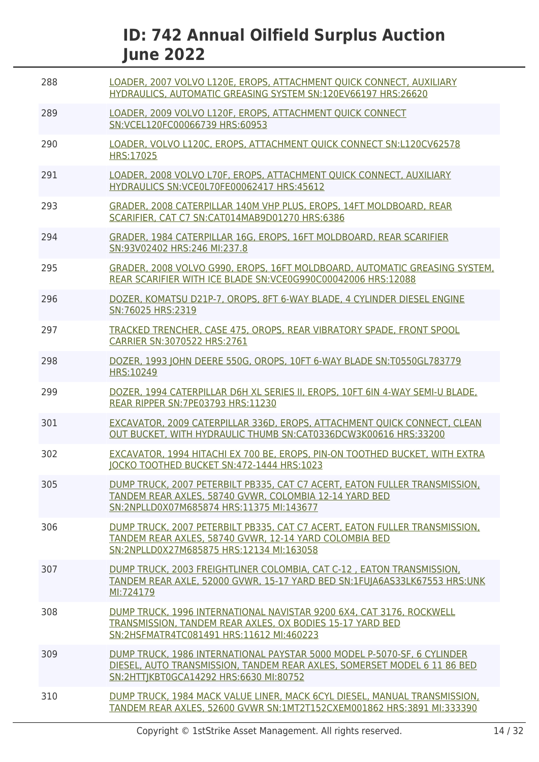| 288 | LOADER, 2007 VOLVO L120E, EROPS, ATTACHMENT OUICK CONNECT, AUXILIARY<br>HYDRAULICS, AUTOMATIC GREASING SYSTEM SN:120EV66197 HRS:26620                                                         |
|-----|-----------------------------------------------------------------------------------------------------------------------------------------------------------------------------------------------|
| 289 | LOADER, 2009 VOLVO L120F, EROPS, ATTACHMENT QUICK CONNECT<br>SN:VCEL120FC00066739 HRS:60953                                                                                                   |
| 290 | LOADER, VOLVO L120C, EROPS, ATTACHMENT QUICK CONNECT SN:L120CV62578<br>HRS:17025                                                                                                              |
| 291 | LOADER, 2008 VOLVO L70F, EROPS, ATTACHMENT OUICK CONNECT, AUXILIARY<br>HYDRAULICS SN:VCE0L70FE00062417 HRS:45612                                                                              |
| 293 | GRADER, 2008 CATERPILLAR 140M VHP PLUS, EROPS, 14FT MOLDBOARD, REAR<br>SCARIFIER, CAT C7 SN:CAT014MAB9D01270 HRS:6386                                                                         |
| 294 | GRADER, 1984 CATERPILLAR 16G, EROPS, 16FT MOLDBOARD, REAR SCARIFIER<br>SN:93V02402 HRS:246 MI:237.8                                                                                           |
| 295 | GRADER, 2008 VOLVO G990, EROPS, 16FT MOLDBOARD, AUTOMATIC GREASING SYSTEM,<br>REAR SCARIFIER WITH ICE BLADE SN: VCE0G990C00042006 HRS: 12088                                                  |
| 296 | DOZER, KOMATSU D21P-7, OROPS, 8FT 6-WAY BLADE, 4 CYLINDER DIESEL ENGINE<br>SN:76025 HRS:2319                                                                                                  |
| 297 | TRACKED TRENCHER, CASE 475, OROPS, REAR VIBRATORY SPADE, FRONT SPOOL<br>CARRIER SN:3070522 HRS:2761                                                                                           |
| 298 | DOZER, 1993 JOHN DEERE 550G, OROPS, 10FT 6-WAY BLADE SN:T0550GL783779<br>HRS:10249                                                                                                            |
| 299 | DOZER, 1994 CATERPILLAR D6H XL SERIES II, EROPS, 10FT 6IN 4-WAY SEMI-U BLADE,<br>REAR RIPPER SN: 7PE03793 HRS: 11230                                                                          |
| 301 | EXCAVATOR, 2009 CATERPILLAR 336D, EROPS, ATTACHMENT QUICK CONNECT, CLEAN<br>OUT BUCKET, WITH HYDRAULIC THUMB SN:CAT0336DCW3K00616 HRS:33200                                                   |
| 302 | EXCAVATOR, 1994 HITACHI EX 700 BE, EROPS, PIN-ON TOOTHED BUCKET, WITH EXTRA<br>JOCKO TOOTHED BUCKET SN:472-1444 HRS:1023                                                                      |
| 305 | DUMP TRUCK, 2007 PETERBILT PB335, CAT C7 ACERT, EATON FULLER TRANSMISSION,<br>TANDEM REAR AXLES, 58740 GVWR, COLOMBIA 12-14 YARD BED<br>SN:2NPLLD0X07M685874 HRS:11375 MI:143677              |
| 306 | DUMP TRUCK, 2007 PETERBILT PB335, CAT C7 ACERT, EATON FULLER TRANSMISSION,<br>TANDEM REAR AXLES, 58740 GVWR, 12-14 YARD COLOMBIA BED<br>SN:2NPLLD0X27M685875 HRS:12134 MI:163058              |
| 307 | DUMP TRUCK, 2003 FREIGHTLINER COLOMBIA, CAT C-12, EATON TRANSMISSION.<br>TANDEM REAR AXLE, 52000 GVWR, 15-17 YARD BED SN:1FUJA6AS33LK67553 HRS:UNK<br>MI:724179                               |
| 308 | DUMP TRUCK, 1996 INTERNATIONAL NAVISTAR 9200 6X4, CAT 3176, ROCKWELL<br>TRANSMISSION, TANDEM REAR AXLES, OX BODIES 15-17 YARD BED<br>SN:2HSFMATR4TC081491 HRS:11612 MI:460223                 |
| 309 | DUMP TRUCK, 1986 INTERNATIONAL PAYSTAR 5000 MODEL P-5070-SF, 6 CYLINDER<br>DIESEL, AUTO TRANSMISSION, TANDEM REAR AXLES, SOMERSET MODEL 6 11 86 BED<br>SN:2HTTIKBT0GCA14292 HRS:6630 MI:80752 |
| 310 | DUMP TRUCK, 1984 MACK VALUE LINER, MACK 6CYL DIESEL, MANUAL TRANSMISSION,<br>TANDEM REAR AXLES, 52600 GVWR SN:1MT2T152CXEM001862 HRS:3891 MI:333390                                           |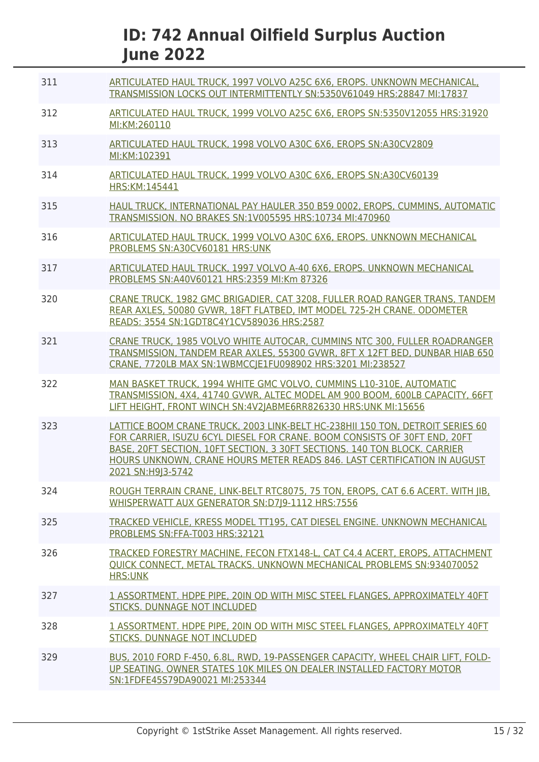| 311 | ARTICULATED HAUL TRUCK, 1997 VOLVO A25C 6X6, EROPS. UNKNOWN MECHANICAL,<br>TRANSMISSION LOCKS OUT INTERMITTENTLY SN:5350V61049 HRS:28847 MI:17837                                                                                                                                                                                        |
|-----|------------------------------------------------------------------------------------------------------------------------------------------------------------------------------------------------------------------------------------------------------------------------------------------------------------------------------------------|
| 312 | ARTICULATED HAUL TRUCK, 1999 VOLVO A25C 6X6, EROPS SN:5350V12055 HRS:31920<br>MI:KM:260110                                                                                                                                                                                                                                               |
| 313 | ARTICULATED HAUL TRUCK, 1998 VOLVO A30C 6X6, EROPS SN:A30CV2809<br>MI:KM:102391                                                                                                                                                                                                                                                          |
| 314 | ARTICULATED HAUL TRUCK, 1999 VOLVO A30C 6X6, EROPS SN:A30CV60139<br>HRS:KM:145441                                                                                                                                                                                                                                                        |
| 315 | HAUL TRUCK, INTERNATIONAL PAY HAULER 350 B59 0002, EROPS, CUMMINS, AUTOMATIC<br>TRANSMISSION. NO BRAKES SN:1V005595 HRS:10734 MI:470960                                                                                                                                                                                                  |
| 316 | ARTICULATED HAUL TRUCK, 1999 VOLVO A30C 6X6, EROPS. UNKNOWN MECHANICAL<br>PROBLEMS SN:A30CV60181 HRS:UNK                                                                                                                                                                                                                                 |
| 317 | ARTICULATED HAUL TRUCK, 1997 VOLVO A-40 6X6, EROPS. UNKNOWN MECHANICAL<br>PROBLEMS SN:A40V60121 HRS:2359 MI:Km 87326                                                                                                                                                                                                                     |
| 320 | CRANE TRUCK, 1982 GMC BRIGADIER, CAT 3208, FULLER ROAD RANGER TRANS, TANDEM<br>REAR AXLES, 50080 GVWR, 18FT FLATBED, IMT MODEL 725-2H CRANE. ODOMETER<br>READS: 3554 SN:1GDT8C4Y1CV589036 HRS:2587                                                                                                                                       |
| 321 | CRANE TRUCK, 1985 VOLVO WHITE AUTOCAR, CUMMINS NTC 300, FULLER ROADRANGER<br>TRANSMISSION, TANDEM REAR AXLES, 55300 GVWR, 8FT X 12FT BED, DUNBAR HIAB 650<br>CRANE, 7720LB MAX SN:1WBMCCJE1FU098902 HRS:3201 MI:238527                                                                                                                   |
| 322 | MAN BASKET TRUCK, 1994 WHITE GMC VOLVO, CUMMINS L10-310E, AUTOMATIC<br>TRANSMISSION, 4X4, 41740 GVWR, ALTEC MODEL AM 900 BOOM, 600LB CAPACITY, 66FT<br>LIFT HEIGHT, FRONT WINCH SN:4V2JABME6RR826330 HRS:UNK MI:15656                                                                                                                    |
| 323 | LATTICE BOOM CRANE TRUCK, 2003 LINK-BELT HC-238HII 150 TON, DETROIT SERIES 60<br>FOR CARRIER, ISUZU 6CYL DIESEL FOR CRANE, BOOM CONSISTS OF 30FT END, 20FT<br>BASE, 20FT SECTION, 10FT SECTION, 3 30FT SECTIONS, 140 TON BLOCK, CARRIER<br>HOURS UNKNOWN, CRANE HOURS METER READS 846. LAST CERTIFICATION IN AUGUST<br>2021 SN:H9J3-5742 |
| 324 | ROUGH TERRAIN CRANE, LINK-BELT RTC8075, 75 TON, EROPS, CAT 6.6 ACERT. WITH JIB,<br>WHISPERWATT AUX GENERATOR SN:D7J9-1112 HRS:7556                                                                                                                                                                                                       |
| 325 | TRACKED VEHICLE, KRESS MODEL TT195, CAT DIESEL ENGINE. UNKNOWN MECHANICAL<br>PROBLEMS SN:FFA-T003 HRS:32121                                                                                                                                                                                                                              |
| 326 | TRACKED FORESTRY MACHINE, FECON FTX148-L, CAT C4.4 ACERT, EROPS, ATTACHMENT<br><b>OUICK CONNECT, METAL TRACKS. UNKNOWN MECHANICAL PROBLEMS SN:934070052</b><br><b>HRS:UNK</b>                                                                                                                                                            |
| 327 | 1 ASSORTMENT. HDPE PIPE, 20IN OD WITH MISC STEEL FLANGES, APPROXIMATELY 40FT<br>STICKS. DUNNAGE NOT INCLUDED                                                                                                                                                                                                                             |
| 328 | 1 ASSORTMENT, HDPE PIPE, 20IN OD WITH MISC STEEL FLANGES, APPROXIMATELY 40FT<br>STICKS. DUNNAGE NOT INCLUDED                                                                                                                                                                                                                             |
| 329 | BUS, 2010 FORD F-450, 6.8L, RWD, 19-PASSENGER CAPACITY, WHEEL CHAIR LIFT, FOLD-<br>UP SEATING. OWNER STATES 10K MILES ON DEALER INSTALLED FACTORY MOTOR<br>SN:1FDFE45S79DA90021 MI:253344                                                                                                                                                |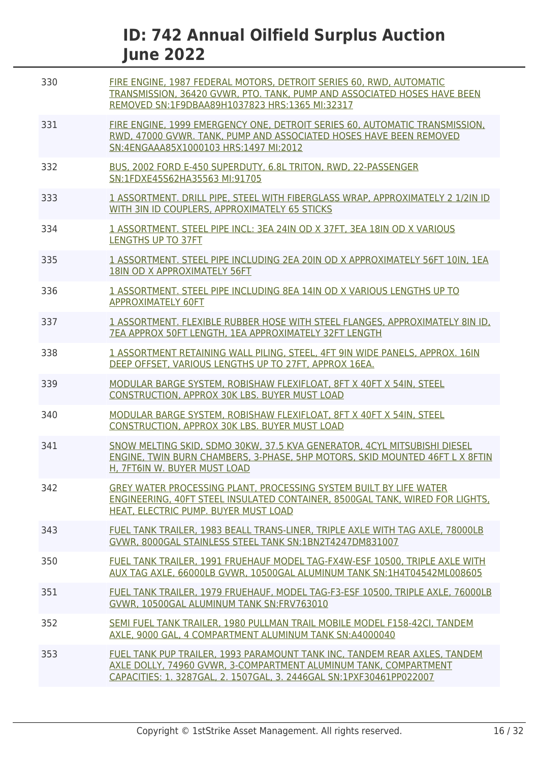| 330 | FIRE ENGINE, 1987 FEDERAL MOTORS, DETROIT SERIES 60, RWD, AUTOMATIC<br>TRANSMISSION, 36420 GVWR, PTO. TANK, PUMP AND ASSOCIATED HOSES HAVE BEEN<br>REMOVED SN:1F9DBAA89H1037823 HRS:1365 MI:32317                    |
|-----|----------------------------------------------------------------------------------------------------------------------------------------------------------------------------------------------------------------------|
| 331 | FIRE ENGINE, 1999 EMERGENCY ONE, DETROIT SERIES 60, AUTOMATIC TRANSMISSION,<br>RWD, 47000 GVWR. TANK, PUMP AND ASSOCIATED HOSES HAVE BEEN REMOVED<br>SN:4ENGAAA85X1000103 HRS:1497 MI:2012                           |
| 332 | BUS, 2002 FORD E-450 SUPERDUTY, 6.8L TRITON, RWD, 22-PASSENGER<br>SN:1FDXE45S62HA35563 MI:91705                                                                                                                      |
| 333 | 1 ASSORTMENT. DRILL PIPE, STEEL WITH FIBERGLASS WRAP, APPROXIMATELY 2 1/2IN ID<br>WITH 3IN ID COUPLERS, APPROXIMATELY 65 STICKS                                                                                      |
| 334 | 1 ASSORTMENT. STEEL PIPE INCL: 3EA 24IN OD X 37FT, 3EA 18IN OD X VARIOUS<br><b>LENGTHS UP TO 37FT</b>                                                                                                                |
| 335 | 1 ASSORTMENT. STEEL PIPE INCLUDING 2EA 20IN OD X APPROXIMATELY 56FT 10IN, 1EA<br>18IN OD X APPROXIMATELY 56FT                                                                                                        |
| 336 | 1 ASSORTMENT. STEEL PIPE INCLUDING 8EA 14IN OD X VARIOUS LENGTHS UP TO<br><b>APPROXIMATELY 60FT</b>                                                                                                                  |
| 337 | 1 ASSORTMENT. FLEXIBLE RUBBER HOSE WITH STEEL FLANGES, APPROXIMATELY 8IN ID.<br>7EA APPROX 50FT LENGTH, 1EA APPROXIMATELY 32FT LENGTH                                                                                |
| 338 | 1 ASSORTMENT RETAINING WALL PILING, STEEL, 4FT 9IN WIDE PANELS, APPROX. 16IN<br>DEEP OFFSET, VARIOUS LENGTHS UP TO 27FT, APPROX 16EA.                                                                                |
| 339 | MODULAR BARGE SYSTEM, ROBISHAW FLEXIFLOAT, 8FT X 40FT X 54IN, STEEL<br><b>CONSTRUCTION, APPROX 30K LBS. BUYER MUST LOAD</b>                                                                                          |
| 340 | MODULAR BARGE SYSTEM, ROBISHAW FLEXIFLOAT, 8FT X 40FT X 54IN, STEEL<br><b>CONSTRUCTION, APPROX 30K LBS. BUYER MUST LOAD</b>                                                                                          |
| 341 | SNOW MELTING SKID, SDMO 30KW, 37.5 KVA GENERATOR, 4CYL MITSUBISHI DIESEL<br>ENGINE, TWIN BURN CHAMBERS, 3-PHASE, 5HP MOTORS, SKID MOUNTED 46FT L X 8FTIN<br>H. 7FT6IN W. BUYER MUST LOAD                             |
| 342 | GREY WATER PROCESSING PLANT, PROCESSING SYSTEM BUILT BY LIFE WATER<br>ENGINEERING, 40FT STEEL INSULATED CONTAINER, 8500GAL TANK, WIRED FOR LIGHTS,<br>HEAT, ELECTRIC PUMP. BUYER MUST LOAD                           |
| 343 | FUEL TANK TRAILER, 1983 BEALL TRANS-LINER, TRIPLE AXLE WITH TAG AXLE, 78000LB<br>GVWR, 8000GAL STAINLESS STEEL TANK SN:1BN2T4247DM831007                                                                             |
| 350 | FUEL TANK TRAILER, 1991 FRUEHAUF MODEL TAG-FX4W-ESF 10500, TRIPLE AXLE WITH<br>AUX TAG AXLE, 66000LB GVWR, 10500GAL ALUMINUM TANK SN:1H4T04542ML008605                                                               |
| 351 | FUEL TANK TRAILER, 1979 FRUEHAUF, MODEL TAG-F3-ESF 10500, TRIPLE AXLE, 76000LB<br>GVWR, 10500GAL ALUMINUM TANK SN:FRV763010                                                                                          |
| 352 | SEMI FUEL TANK TRAILER, 1980 PULLMAN TRAIL MOBILE MODEL F158-42CI, TANDEM<br>AXLE, 9000 GAL, 4 COMPARTMENT ALUMINUM TANK SN:A4000040                                                                                 |
| 353 | FUEL TANK PUP TRAILER, 1993 PARAMOUNT TANK INC, TANDEM REAR AXLES, TANDEM<br>AXLE DOLLY, 74960 GVWR, 3-COMPARTMENT ALUMINUM TANK, COMPARTMENT<br>CAPACITIES: 1. 3287GAL, 2. 1507GAL, 3. 2446GAL SN:1PXF30461PP022007 |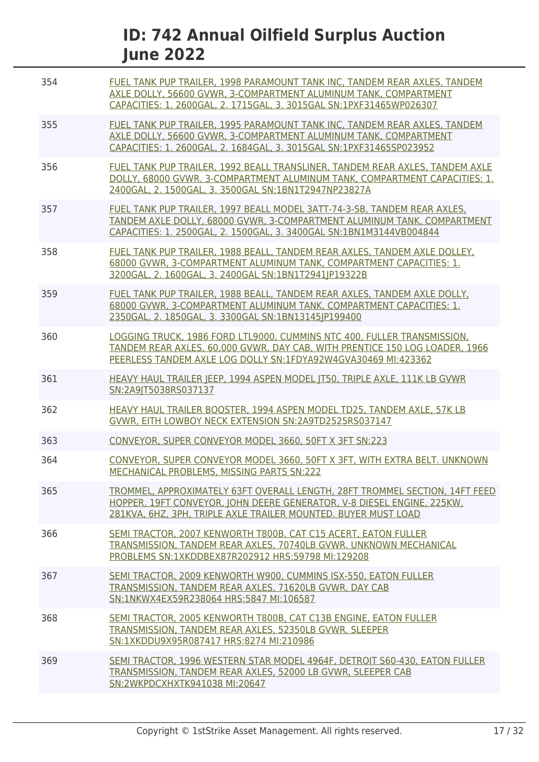| 354 | FUEL TANK PUP TRAILER, 1998 PARAMOUNT TANK INC, TANDEM REAR AXLES, TANDEM<br>AXLE DOLLY, 56600 GVWR, 3-COMPARTMENT ALUMINUM TANK, COMPARTMENT<br>CAPACITIES: 1. 2600GAL, 2. 1715GAL, 3. 3015GAL SN:1PXF31465WP026307       |
|-----|----------------------------------------------------------------------------------------------------------------------------------------------------------------------------------------------------------------------------|
| 355 | FUEL TANK PUP TRAILER, 1995 PARAMOUNT TANK INC. TANDEM REAR AXLES, TANDEM<br>AXLE DOLLY, 56600 GVWR, 3-COMPARTMENT ALUMINUM TANK, COMPARTMENT<br>CAPACITIES: 1. 2600GAL, 2. 1684GAL, 3. 3015GAL SN:1PXF31465SP023952       |
| 356 | FUEL TANK PUP TRAILER, 1992 BEALL TRANSLINER, TANDEM REAR AXLES, TANDEM AXLE<br>DOLLY, 68000 GVWR, 3-COMPARTMENT ALUMINUM TANK, COMPARTMENT CAPACITIES: 1.<br>2400GAL, 2. 1500GAL, 3. 3500GAL SN:1BN1T2947NP23827A         |
| 357 | FUEL TANK PUP TRAILER, 1997 BEALL MODEL 3ATT-74-3-SB, TANDEM REAR AXLES,<br>TANDEM AXLE DOLLY, 68000 GVWR, 3-COMPARTMENT ALUMINUM TANK, COMPARTMENT<br>CAPACITIES: 1. 2500GAL, 2. 1500GAL, 3. 3400GAL SN:1BN1M3144VB004844 |
| 358 | FUEL TANK PUP TRAILER, 1988 BEALL, TANDEM REAR AXLES, TANDEM AXLE DOLLEY,<br>68000 GVWR, 3-COMPARTMENT ALUMINUM TANK, COMPARTMENT CAPACITIES: 1.<br>3200GAL, 2. 1600GAL, 3. 2400GAL SN:1BN1T2941JP19322B                   |
| 359 | FUEL TANK PUP TRAILER, 1988 BEALL, TANDEM REAR AXLES, TANDEM AXLE DOLLY,<br>68000 GVWR, 3-COMPARTMENT ALUMINUM TANK, COMPARTMENT CAPACITIES: 1.<br>2350GAL, 2. 1850GAL, 3. 3300GAL SN:1BN13145JP199400                     |
| 360 | LOGGING TRUCK, 1986 FORD LTL9000, CUMMINS NTC 400, FULLER TRANSMISSION,<br>TANDEM REAR AXLES, 60,000 GVWR, DAY CAB, WITH PRENTICE 150 LOG LOADER, 1966<br>PEERLESS TANDEM AXLE LOG DOLLY SN:1FDYA92W4GVA30469 MI:423362    |
| 361 | HEAVY HAUL TRAILER JEEP, 1994 ASPEN MODEL JT50, TRIPLE AXLE, 111K LB GVWR<br>SN:2A9JT5038RS037137                                                                                                                          |
| 362 | HEAVY HAUL TRAILER BOOSTER, 1994 ASPEN MODEL TD25, TANDEM AXLE, 57K LB<br>GVWR, EITH LOWBOY NECK EXTENSION SN:2A9TD2525RS037147                                                                                            |
| 363 | CONVEYOR, SUPER CONVEYOR MODEL 3660, 50FT X 3FT SN:223                                                                                                                                                                     |
| 364 | CONVEYOR, SUPER CONVEYOR MODEL 3660, 50FT X 3FT, WITH EXTRA BELT. UNKNOWN<br>MECHANICAL PROBLEMS, MISSING PARTS SN:222                                                                                                     |
| 365 | TROMMEL, APPROXIMATELY 63FT OVERALL LENGTH, 28FT TROMMEL SECTION, 14FT FEED<br>HOPPER, 19FT CONVEYOR, JOHN DEERE GENERATOR, V-8 DIESEL ENGINE, 225KW,<br>281KVA, 6HZ, 3PH, TRIPLE AXLE TRAILER MOUNTED. BUYER MUST LOAD    |
| 366 | SEMI TRACTOR, 2007 KENWORTH T800B, CAT C15 ACERT, EATON FULLER<br>TRANSMISSION, TANDEM REAR AXLES, 70740LB GVWR, UNKNOWN MECHANICAL<br>PROBLEMS SN:1XKDDBEX87R202912 HRS:59798 MI:129208                                   |
| 367 | SEMI TRACTOR, 2009 KENWORTH W900, CUMMINS ISX-550, EATON FULLER<br>TRANSMISSION, TANDEM REAR AXLES, 71620LB GVWR, DAY CAB<br>SN:1NKWX4EX59R238064 HRS:5847 MI:106587                                                       |
| 368 | SEMI TRACTOR, 2005 KENWORTH T800B, CAT C13B ENGINE, EATON FULLER<br>TRANSMISSION, TANDEM REAR AXLES, 52350LB GVWR, SLEEPER<br>SN:1XKDDU9X95R087417 HRS:8274 MI:210986                                                      |
| 369 | SEMI TRACTOR, 1996 WESTERN STAR MODEL 4964F, DETROIT S60-430, EATON FULLER<br>TRANSMISSION, TANDEM REAR AXLES, 52000 LB GVWR, SLEEPER CAB<br>SN:2WKPDCXHXTK941038 MI:20647                                                 |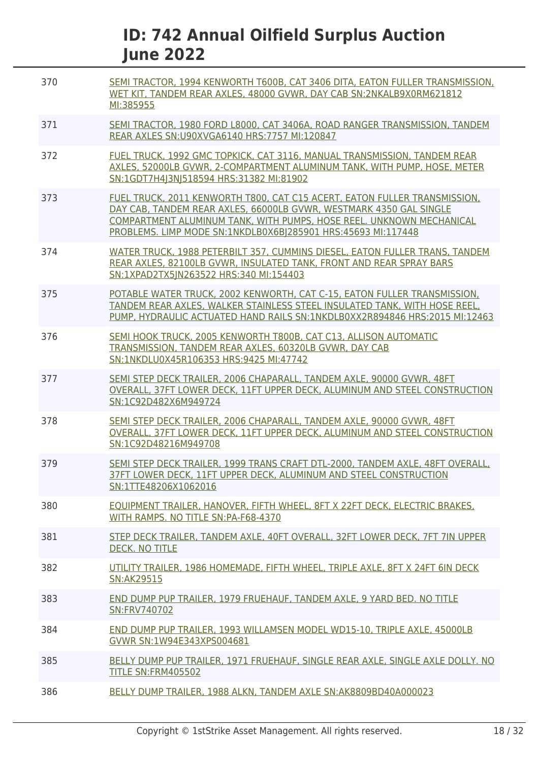| 370 | SEMI TRACTOR, 1994 KENWORTH T600B, CAT 3406 DITA, EATON FULLER TRANSMISSION,<br>WET KIT. TANDEM REAR AXLES, 48000 GVWR, DAY CAB SN:2NKALB9X0RM621812<br>MI:385955                                                                                                                       |
|-----|-----------------------------------------------------------------------------------------------------------------------------------------------------------------------------------------------------------------------------------------------------------------------------------------|
| 371 | SEMI TRACTOR, 1980 FORD L8000, CAT 3406A, ROAD RANGER TRANSMISSION, TANDEM<br>REAR AXLES SN: U90XVGA6140 HRS: 7757 MI: 120847                                                                                                                                                           |
| 372 | FUEL TRUCK, 1992 GMC TOPKICK, CAT 3116, MANUAL TRANSMISSION, TANDEM REAR<br>AXLES, 52000LB GVWR, 2-COMPARTMENT ALUMINUM TANK, WITH PUMP, HOSE, METER<br>SN:1GDT7H4J3NJ518594 HRS:31382 MI:81902                                                                                         |
| 373 | FUEL TRUCK, 2011 KENWORTH T800, CAT C15 ACERT, EATON FULLER TRANSMISSION,<br>DAY CAB, TANDEM REAR AXLES, 66000LB GVWR, WESTMARK 4350 GAL SINGLE<br>COMPARTMENT ALUMINUM TANK, WITH PUMPS, HOSE REEL. UNKNOWN MECHANICAL<br>PROBLEMS. LIMP MODE SN:1NKDLB0X6BJ285901 HRS:45693 MI:117448 |
| 374 | WATER TRUCK, 1988 PETERBILT 357, CUMMINS DIESEL, EATON FULLER TRANS, TANDEM<br>REAR AXLES, 82100LB GVWR, INSULATED TANK, FRONT AND REAR SPRAY BARS<br>SN:1XPAD2TX5 N263522 HRS:340 MI:154403                                                                                            |
| 375 | POTABLE WATER TRUCK, 2002 KENWORTH, CAT C-15, EATON FULLER TRANSMISSION,<br>TANDEM REAR AXLES, WALKER STAINLESS STEEL INSULATED TANK, WITH HOSE REEL,<br>PUMP, HYDRAULIC ACTUATED HAND RAILS SN:1NKDLB0XX2R894846 HRS:2015 MI:12463                                                     |
| 376 | SEMI HOOK TRUCK, 2005 KENWORTH T800B, CAT C13, ALLISON AUTOMATIC<br>TRANSMISSION, TANDEM REAR AXLES, 60320LB GVWR, DAY CAB<br>SN:1NKDLU0X45R106353 HRS:9425 MI:47742                                                                                                                    |
| 377 | SEMI STEP DECK TRAILER, 2006 CHAPARALL, TANDEM AXLE, 90000 GVWR, 48FT<br>OVERALL, 37FT LOWER DECK, 11FT UPPER DECK, ALUMINUM AND STEEL CONSTRUCTION<br>SN:1C92D482X6M949724                                                                                                             |
| 378 | SEMI STEP DECK TRAILER, 2006 CHAPARALL, TANDEM AXLE, 90000 GVWR, 48FT<br>OVERALL, 37FT LOWER DECK, 11FT UPPER DECK, ALUMINUM AND STEEL CONSTRUCTION<br>SN:1C92D48216M949708                                                                                                             |
| 379 | SEMI STEP DECK TRAILER, 1999 TRANS CRAFT DTL-2000, TANDEM AXLE, 48FT OVERALL,<br>37FT LOWER DECK, 11FT UPPER DECK, ALUMINUM AND STEEL CONSTRUCTION<br>SN:1TTE48206X1062016                                                                                                              |
| 380 | EQUIPMENT TRAILER, HANOVER, FIFTH WHEEL, 8FT X 22FT DECK, ELECTRIC BRAKES,<br>WITH RAMPS, NO TITLE SN:PA-F68-4370                                                                                                                                                                       |
| 381 | STEP DECK TRAILER, TANDEM AXLE, 40FT OVERALL, 32FT LOWER DECK, 7FT 7IN UPPER<br><b>DECK. NO TITLE</b>                                                                                                                                                                                   |
| 382 | UTILITY TRAILER, 1986 HOMEMADE, FIFTH WHEEL, TRIPLE AXLE, 8FT X 24FT 6IN DECK<br><b>SN:AK29515</b>                                                                                                                                                                                      |
| 383 | END DUMP PUP TRAILER, 1979 FRUEHAUF, TANDEM AXLE, 9 YARD BED. NO TITLE<br><b>SN:FRV740702</b>                                                                                                                                                                                           |
| 384 | END DUMP PUP TRAILER, 1993 WILLAMSEN MODEL WD15-10, TRIPLE AXLE, 45000LB<br>GVWR SN:1W94E343XPS004681                                                                                                                                                                                   |
| 385 | BELLY DUMP PUP TRAILER, 1971 FRUEHAUF, SINGLE REAR AXLE, SINGLE AXLE DOLLY. NO<br><b>TITLE SN:FRM405502</b>                                                                                                                                                                             |
| 386 | BELLY DUMP TRAILER, 1988 ALKN, TANDEM AXLE SN: AK8809BD40A000023                                                                                                                                                                                                                        |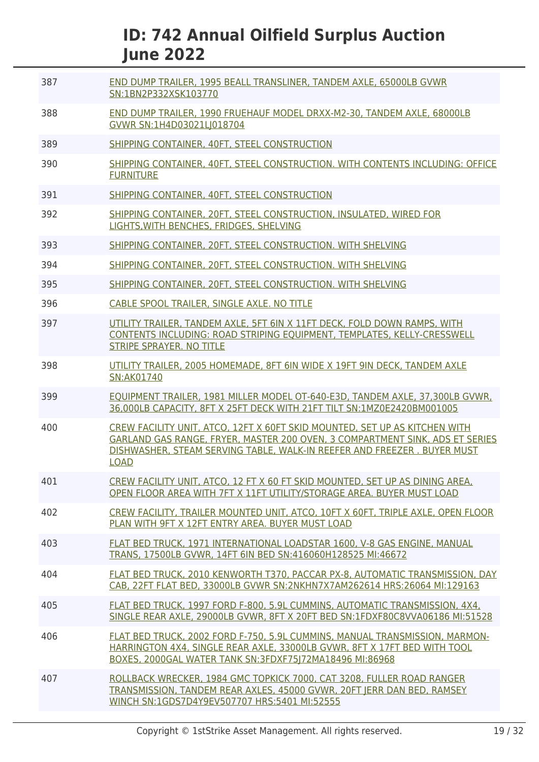| 387 | END DUMP TRAILER, 1995 BEALL TRANSLINER, TANDEM AXLE, 65000LB GVWR<br>SN:1BN2P332XSK103770                                                                                                                                                           |
|-----|------------------------------------------------------------------------------------------------------------------------------------------------------------------------------------------------------------------------------------------------------|
| 388 | END DUMP TRAILER, 1990 FRUEHAUF MODEL DRXX-M2-30, TANDEM AXLE, 68000LB<br>GVWR SN:1H4D03021LJ018704                                                                                                                                                  |
| 389 | SHIPPING CONTAINER, 40FT, STEEL CONSTRUCTION                                                                                                                                                                                                         |
| 390 | SHIPPING CONTAINER, 40FT, STEEL CONSTRUCTION. WITH CONTENTS INCLUDING: OFFICE<br><b>FURNITURE</b>                                                                                                                                                    |
| 391 | SHIPPING CONTAINER, 40FT, STEEL CONSTRUCTION                                                                                                                                                                                                         |
| 392 | SHIPPING CONTAINER, 20FT, STEEL CONSTRUCTION, INSULATED, WIRED FOR<br>LIGHTS, WITH BENCHES, FRIDGES, SHELVING                                                                                                                                        |
| 393 | SHIPPING CONTAINER, 20FT, STEEL CONSTRUCTION. WITH SHELVING                                                                                                                                                                                          |
| 394 | SHIPPING CONTAINER, 20FT, STEEL CONSTRUCTION. WITH SHELVING                                                                                                                                                                                          |
| 395 | SHIPPING CONTAINER, 20FT, STEEL CONSTRUCTION. WITH SHELVING                                                                                                                                                                                          |
| 396 | CABLE SPOOL TRAILER, SINGLE AXLE. NO TITLE                                                                                                                                                                                                           |
| 397 | UTILITY TRAILER, TANDEM AXLE, 5FT 6IN X 11FT DECK, FOLD DOWN RAMPS, WITH<br>CONTENTS INCLUDING: ROAD STRIPING EQUIPMENT, TEMPLATES, KELLY-CRESSWELL<br><b>STRIPE SPRAYER. NO TITLE</b>                                                               |
| 398 | UTILITY TRAILER, 2005 HOMEMADE, 8FT 6IN WIDE X 19FT 9IN DECK, TANDEM AXLE<br>SN:AK01740                                                                                                                                                              |
| 399 | EOUIPMENT TRAILER, 1981 MILLER MODEL OT-640-E3D, TANDEM AXLE, 37,300LB GVWR,<br>36,000LB CAPACITY, 8FT X 25FT DECK WITH 21FT TILT SN:1MZ0E2420BM001005                                                                                               |
| 400 | CREW FACILITY UNIT, ATCO, 12FT X 60FT SKID MOUNTED, SET UP AS KITCHEN WITH<br>GARLAND GAS RANGE, FRYER, MASTER 200 OVEN, 3 COMPARTMENT SINK, ADS ET SERIES<br>DISHWASHER, STEAM SERVING TABLE, WALK-IN REEFER AND FREEZER. BUYER MUST<br><b>LOAD</b> |
| 401 | CREW FACILITY UNIT, ATCO, 12 FT X 60 FT SKID MOUNTED, SET UP AS DINING AREA,<br>OPEN FLOOR AREA WITH 7FT X 11FT UTILITY/STORAGE AREA, BUYER MUST LOAD                                                                                                |
| 402 | CREW FACILITY, TRAILER MOUNTED UNIT, ATCO, 10FT X 60FT, TRIPLE AXLE, OPEN FLOOR<br>PLAN WITH 9FT X 12FT ENTRY AREA, BUYER MUST LOAD                                                                                                                  |
| 403 | FLAT BED TRUCK, 1971 INTERNATIONAL LOADSTAR 1600, V-8 GAS ENGINE, MANUAL<br>TRANS, 17500LB GVWR, 14FT 6IN BED SN:416060H128525 MI:46672                                                                                                              |
| 404 | FLAT BED TRUCK, 2010 KENWORTH T370, PACCAR PX-8, AUTOMATIC TRANSMISSION, DAY<br>CAB, 22FT FLAT BED, 33000LB GVWR SN:2NKHN7X7AM262614 HRS:26064 MI:129163                                                                                             |
| 405 | FLAT BED TRUCK, 1997 FORD F-800, 5.9L CUMMINS, AUTOMATIC TRANSMISSION, 4X4,<br>SINGLE REAR AXLE, 29000LB GVWR, 8FT X 20FT BED SN:1FDXF80C8VVA06186 MI:51528                                                                                          |
| 406 | FLAT BED TRUCK, 2002 FORD F-750, 5.9L CUMMINS, MANUAL TRANSMISSION, MARMON-<br>HARRINGTON 4X4, SINGLE REAR AXLE, 33000LB GVWR, 8FT X 17FT BED WITH TOOL<br>BOXES, 2000GAL WATER TANK SN:3FDXF75J72MA18496 MI:86968                                   |
| 407 | ROLLBACK WRECKER, 1984 GMC TOPKICK 7000, CAT 3208, FULLER ROAD RANGER<br>TRANSMISSION, TANDEM REAR AXLES, 45000 GVWR, 20FT JERR DAN BED, RAMSEY<br>WINCH SN:1GDS7D4Y9EV507707 HRS:5401 MI:52555                                                      |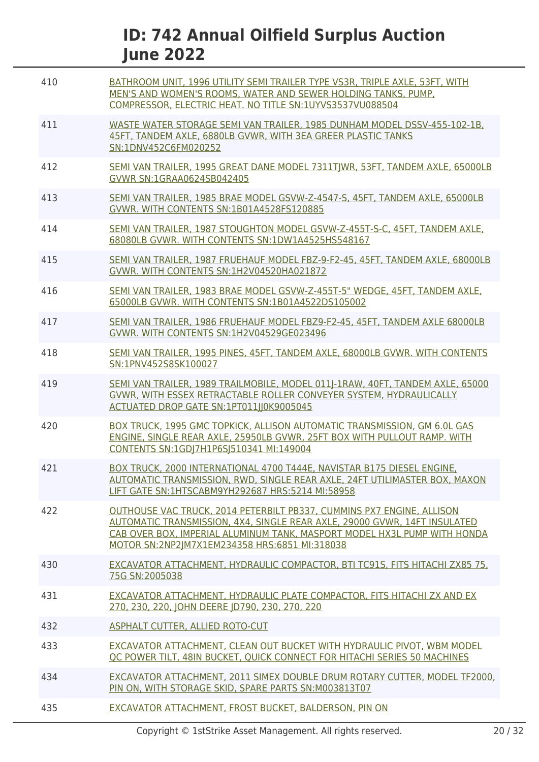| 410 | BATHROOM UNIT, 1996 UTILITY SEMI TRAILER TYPE VS3R, TRIPLE AXLE, 53FT, WITH<br>MEN'S AND WOMEN'S ROOMS, WATER AND SEWER HOLDING TANKS, PUMP,<br>COMPRESSOR, ELECTRIC HEAT. NO TITLE SN:1UYVS3537VU088504                                                                        |
|-----|---------------------------------------------------------------------------------------------------------------------------------------------------------------------------------------------------------------------------------------------------------------------------------|
| 411 | WASTE WATER STORAGE SEMI VAN TRAILER. 1985 DUNHAM MODEL DSSV-455-102-1B.<br>45FT. TANDEM AXLE, 6880LB GVWR, WITH 3EA GREER PLASTIC TANKS<br>SN:1DNV452C6FM020252                                                                                                                |
| 412 | SEMI VAN TRAILER, 1995 GREAT DANE MODEL 7311TJWR, 53FT, TANDEM AXLE, 65000LB<br>GVWR SN:1GRAA0624SB042405                                                                                                                                                                       |
| 413 | SEMI VAN TRAILER, 1985 BRAE MODEL GSVW-Z-4547-S, 45FT, TANDEM AXLE, 65000LB<br>GVWR. WITH CONTENTS SN:1B01A4528FS120885                                                                                                                                                         |
| 414 | SEMI VAN TRAILER, 1987 STOUGHTON MODEL GSVW-Z-455T-S-C, 45FT, TANDEM AXLE,<br>68080LB GVWR. WITH CONTENTS SN:1DW1A4525HS548167                                                                                                                                                  |
| 415 | SEMI VAN TRAILER, 1987 FRUEHAUF MODEL FBZ-9-F2-45, 45FT, TANDEM AXLE, 68000LB<br>GVWR. WITH CONTENTS SN:1H2V04520HA021872                                                                                                                                                       |
| 416 | SEMI VAN TRAILER, 1983 BRAE MODEL GSVW-Z-455T-5" WEDGE, 45FT, TANDEM AXLE,<br>65000LB GVWR. WITH CONTENTS SN:1B01A4522DS105002                                                                                                                                                  |
| 417 | SEMI VAN TRAILER, 1986 FRUEHAUF MODEL FBZ9-F2-45, 45FT, TANDEM AXLE 68000LB<br>GVWR. WITH CONTENTS SN:1H2V04529GE023496                                                                                                                                                         |
| 418 | SEMI VAN TRAILER, 1995 PINES, 45FT, TANDEM AXLE, 68000LB GVWR. WITH CONTENTS<br>SN:1PNV452S8SK100027                                                                                                                                                                            |
| 419 | SEMI VAN TRAILER, 1989 TRAILMOBILE, MODEL 011J-1RAW, 40FT, TANDEM AXLE, 65000<br>GVWR, WITH ESSEX RETRACTABLE ROLLER CONVEYER SYSTEM, HYDRAULICALLY<br>ACTUATED DROP GATE SN:1PT011JJ0K9005045                                                                                  |
| 420 | BOX TRUCK, 1995 GMC TOPKICK, ALLISON AUTOMATIC TRANSMISSION, GM 6.0L GAS<br>ENGINE, SINGLE REAR AXLE, 25950LB GVWR, 25FT BOX WITH PULLOUT RAMP, WITH<br>CONTENTS SN:1GD 7H1P6S 510341 MI:149004                                                                                 |
| 421 | BOX TRUCK, 2000 INTERNATIONAL 4700 T444E, NAVISTAR B175 DIESEL ENGINE,<br>AUTOMATIC TRANSMISSION, RWD, SINGLE REAR AXLE, 24FT UTILIMASTER BOX, MAXON<br>LIFT GATE SN:1HTSCABM9YH292687 HRS:5214 MI:58958                                                                        |
| 422 | OUTHOUSE VAC TRUCK, 2014 PETERBILT PB337, CUMMINS PX7 ENGINE, ALLISON<br>AUTOMATIC TRANSMISSION, 4X4, SINGLE REAR AXLE, 29000 GVWR, 14FT INSULATED<br>CAB OVER BOX, IMPERIAL ALUMINUM TANK, MASPORT MODEL HX3L PUMP WITH HONDA<br>MOTOR SN:2NP2IM7X1EM234358 HRS:6851 MI:318038 |
| 430 | EXCAVATOR ATTACHMENT, HYDRAULIC COMPACTOR, BTI TC91S, FITS HITACHI ZX85 75,<br>75G SN:2005038                                                                                                                                                                                   |
| 431 | EXCAVATOR ATTACHMENT, HYDRAULIC PLATE COMPACTOR, FITS HITACHI ZX AND EX<br>270, 230, 220, JOHN DEERE JD790, 230, 270, 220                                                                                                                                                       |
| 432 | ASPHALT CUTTER, ALLIED ROTO-CUT                                                                                                                                                                                                                                                 |
| 433 | EXCAVATOR ATTACHMENT, CLEAN OUT BUCKET WITH HYDRAULIC PIVOT, WBM MODEL<br>OC POWER TILT, 48IN BUCKET, QUICK CONNECT FOR HITACHI SERIES 50 MACHINES                                                                                                                              |
| 434 | EXCAVATOR ATTACHMENT, 2011 SIMEX DOUBLE DRUM ROTARY CUTTER, MODEL TF2000,<br>PIN ON, WITH STORAGE SKID, SPARE PARTS SN:M003813T07                                                                                                                                               |
| 435 | EXCAVATOR ATTACHMENT, FROST BUCKET, BALDERSON, PIN ON                                                                                                                                                                                                                           |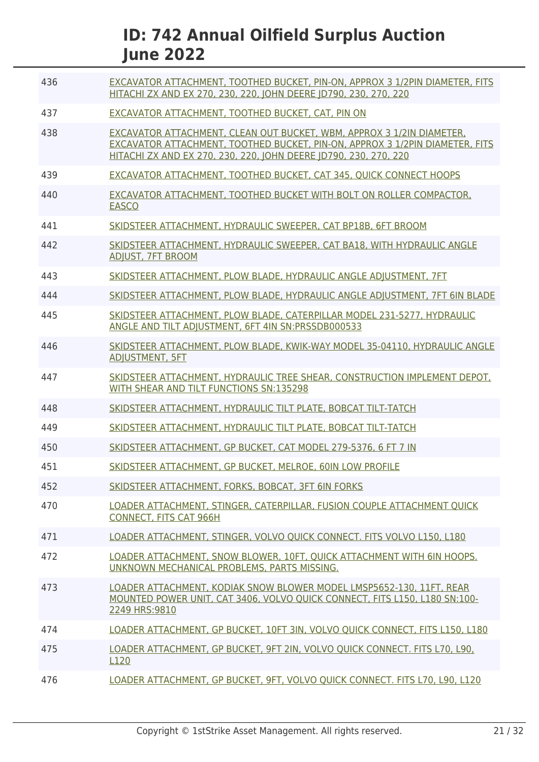| 436 | EXCAVATOR ATTACHMENT, TOOTHED BUCKET, PIN-ON, APPROX 3 1/2PIN DIAMETER, FITS<br>HITACHI ZX AND EX 270, 230, 220, JOHN DEERE JD790, 230, 270, 220                                                                          |
|-----|---------------------------------------------------------------------------------------------------------------------------------------------------------------------------------------------------------------------------|
| 437 | EXCAVATOR ATTACHMENT, TOOTHED BUCKET, CAT, PIN ON                                                                                                                                                                         |
| 438 | EXCAVATOR ATTACHMENT, CLEAN OUT BUCKET, WBM, APPROX 3 1/2IN DIAMETER,<br>EXCAVATOR ATTACHMENT, TOOTHED BUCKET, PIN-ON, APPROX 3 1/2PIN DIAMETER, FITS<br>HITACHI ZX AND EX 270, 230, 220, JOHN DEERE JD790, 230, 270, 220 |
| 439 | EXCAVATOR ATTACHMENT, TOOTHED BUCKET, CAT 345, OUICK CONNECT HOOPS                                                                                                                                                        |
| 440 | EXCAVATOR ATTACHMENT, TOOTHED BUCKET WITH BOLT ON ROLLER COMPACTOR,<br><b>EASCO</b>                                                                                                                                       |
| 441 | SKIDSTEER ATTACHMENT, HYDRAULIC SWEEPER, CAT BP18B, 6FT BROOM                                                                                                                                                             |
| 442 | SKIDSTEER ATTACHMENT, HYDRAULIC SWEEPER, CAT BA18, WITH HYDRAULIC ANGLE<br><b>ADJUST, 7FT BROOM</b>                                                                                                                       |
| 443 | SKIDSTEER ATTACHMENT, PLOW BLADE, HYDRAULIC ANGLE ADJUSTMENT, 7FT                                                                                                                                                         |
| 444 | SKIDSTEER ATTACHMENT, PLOW BLADE, HYDRAULIC ANGLE ADJUSTMENT, 7FT 6IN BLADE                                                                                                                                               |
| 445 | SKIDSTEER ATTACHMENT, PLOW BLADE, CATERPILLAR MODEL 231-5277, HYDRAULIC<br>ANGLE AND TILT ADJUSTMENT, 6FT 4IN SN:PRSSDB000533                                                                                             |
| 446 | SKIDSTEER ATTACHMENT, PLOW BLADE, KWIK-WAY MODEL 35-04110, HYDRAULIC ANGLE<br><b>ADJUSTMENT, 5FT</b>                                                                                                                      |
| 447 | SKIDSTEER ATTACHMENT, HYDRAULIC TREE SHEAR, CONSTRUCTION IMPLEMENT DEPOT.<br>WITH SHEAR AND TILT FUNCTIONS SN:135298                                                                                                      |
| 448 | SKIDSTEER ATTACHMENT, HYDRAULIC TILT PLATE, BOBCAT TILT-TATCH                                                                                                                                                             |
| 449 | SKIDSTEER ATTACHMENT, HYDRAULIC TILT PLATE, BOBCAT TILT-TATCH                                                                                                                                                             |
| 450 | SKIDSTEER ATTACHMENT, GP BUCKET, CAT MODEL 279-5376, 6 FT 7 IN                                                                                                                                                            |
| 451 | SKIDSTEER ATTACHMENT, GP BUCKET, MELROE, 60IN LOW PROFILE                                                                                                                                                                 |
| 452 | SKIDSTEER ATTACHMENT, FORKS, BOBCAT, 3FT 6IN FORKS                                                                                                                                                                        |
| 470 | LOADER ATTACHMENT, STINGER, CATERPILLAR, FUSION COUPLE ATTACHMENT QUICK<br><b>CONNECT, FITS CAT 966H</b>                                                                                                                  |
| 471 | LOADER ATTACHMENT, STINGER, VOLVO OUICK CONNECT, FITS VOLVO L150, L180                                                                                                                                                    |
| 472 | LOADER ATTACHMENT, SNOW BLOWER, 10FT, QUICK ATTACHMENT WITH 6IN HOOPS.<br>UNKNOWN MECHANICAL PROBLEMS, PARTS MISSING.                                                                                                     |
| 473 | LOADER ATTACHMENT, KODIAK SNOW BLOWER MODEL LMSP5652-130, 11FT, REAR<br>MOUNTED POWER UNIT, CAT 3406, VOLVO OUICK CONNECT, FITS L150, L180 SN:100-<br>2249 HRS:9810                                                       |
| 474 | LOADER ATTACHMENT, GP BUCKET, 10FT 3IN, VOLVO QUICK CONNECT, FITS L150, L180                                                                                                                                              |
| 475 | LOADER ATTACHMENT, GP BUCKET, 9FT 2IN, VOLVO QUICK CONNECT. FITS L70, L90,<br>L120                                                                                                                                        |
| 476 | LOADER ATTACHMENT, GP BUCKET, 9FT, VOLVO QUICK CONNECT. FITS L70, L90, L120                                                                                                                                               |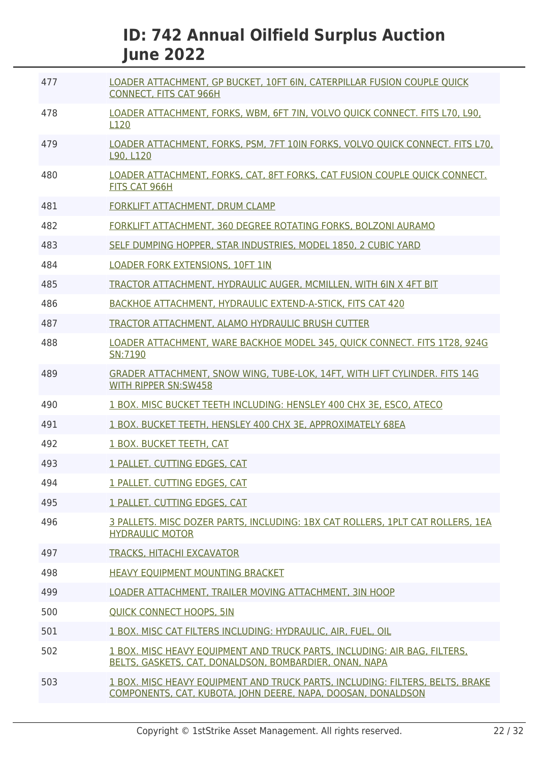| 477 | LOADER ATTACHMENT, GP BUCKET, 10FT 6IN, CATERPILLAR FUSION COUPLE OUICK<br><b>CONNECT, FITS CAT 966H</b>                                      |
|-----|-----------------------------------------------------------------------------------------------------------------------------------------------|
| 478 | LOADER ATTACHMENT, FORKS, WBM, 6FT 7IN, VOLVO QUICK CONNECT. FITS L70, L90,<br>L <sub>120</sub>                                               |
| 479 | LOADER ATTACHMENT, FORKS, PSM, 7FT 10IN FORKS, VOLVO QUICK CONNECT. FITS L70,<br>L90, L120                                                    |
| 480 | LOADER ATTACHMENT, FORKS, CAT, 8FT FORKS, CAT FUSION COUPLE OUICK CONNECT.<br>FITS CAT 966H                                                   |
| 481 | FORKLIFT ATTACHMENT, DRUM CLAMP                                                                                                               |
| 482 | FORKLIFT ATTACHMENT, 360 DEGREE ROTATING FORKS, BOLZONI AURAMO                                                                                |
| 483 | SELF DUMPING HOPPER, STAR INDUSTRIES, MODEL 1850, 2 CUBIC YARD                                                                                |
| 484 | <b>LOADER FORK EXTENSIONS, 10FT 1IN</b>                                                                                                       |
| 485 | TRACTOR ATTACHMENT, HYDRAULIC AUGER, MCMILLEN, WITH 6IN X 4FT BIT                                                                             |
| 486 | BACKHOE ATTACHMENT, HYDRAULIC EXTEND-A-STICK, FITS CAT 420                                                                                    |
| 487 | TRACTOR ATTACHMENT, ALAMO HYDRAULIC BRUSH CUTTER                                                                                              |
| 488 | LOADER ATTACHMENT, WARE BACKHOE MODEL 345, QUICK CONNECT. FITS 1T28, 924G<br>SN:7190                                                          |
| 489 | GRADER ATTACHMENT, SNOW WING, TUBE-LOK, 14FT, WITH LIFT CYLINDER. FITS 14G<br><b>WITH RIPPER SN:SW458</b>                                     |
| 490 | 1 BOX, MISC BUCKET TEETH INCLUDING: HENSLEY 400 CHX 3E, ESCO, ATECO                                                                           |
| 491 | 1 BOX. BUCKET TEETH, HENSLEY 400 CHX 3E, APPROXIMATELY 68EA                                                                                   |
| 492 | 1 BOX, BUCKET TEETH, CAT                                                                                                                      |
| 493 | 1 PALLET, CUTTING EDGES, CAT                                                                                                                  |
| 494 | 1 PALLET. CUTTING EDGES, CAT                                                                                                                  |
| 495 | 1 PALLET. CUTTING EDGES, CAT                                                                                                                  |
| 496 | 3 PALLETS. MISC DOZER PARTS, INCLUDING: 1BX CAT ROLLERS, 1PLT CAT ROLLERS. 1EA<br><b>HYDRAULIC MOTOR</b>                                      |
| 497 | <b>TRACKS, HITACHI EXCAVATOR</b>                                                                                                              |
| 498 | <b>HEAVY EOUIPMENT MOUNTING BRACKET</b>                                                                                                       |
| 499 | LOADER ATTACHMENT. TRAILER MOVING ATTACHMENT. 3IN HOOP                                                                                        |
| 500 | <b>QUICK CONNECT HOOPS, 5IN</b>                                                                                                               |
| 501 | 1 BOX. MISC CAT FILTERS INCLUDING: HYDRAULIC, AIR, FUEL, OIL                                                                                  |
| 502 | 1 BOX. MISC HEAVY EOUIPMENT AND TRUCK PARTS, INCLUDING: AIR BAG, FILTERS,<br>BELTS, GASKETS, CAT, DONALDSON, BOMBARDIER, ONAN, NAPA           |
| 503 | 1 BOX. MISC HEAVY EQUIPMENT AND TRUCK PARTS, INCLUDING: FILTERS, BELTS, BRAKE<br>COMPONENTS, CAT, KUBOTA, JOHN DEERE, NAPA, DOOSAN, DONALDSON |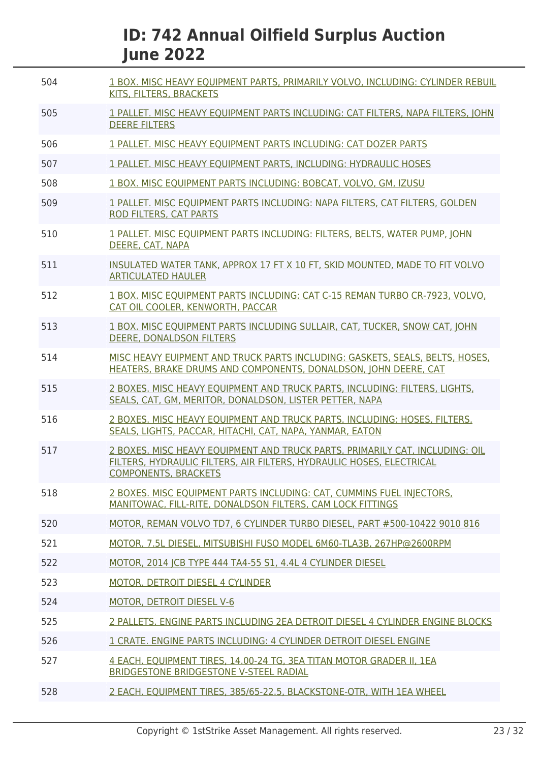| 504 | 1 BOX, MISC HEAVY EQUIPMENT PARTS, PRIMARILY VOLVO, INCLUDING: CYLINDER REBUIL<br>KITS, FILTERS, BRACKETS                                                                           |
|-----|-------------------------------------------------------------------------------------------------------------------------------------------------------------------------------------|
| 505 | 1 PALLET. MISC HEAVY EQUIPMENT PARTS INCLUDING: CAT FILTERS, NAPA FILTERS, JOHN<br><b>DEERE FILTERS</b>                                                                             |
| 506 | 1 PALLET. MISC HEAVY EQUIPMENT PARTS INCLUDING: CAT DOZER PARTS                                                                                                                     |
| 507 | 1 PALLET. MISC HEAVY EOUIPMENT PARTS, INCLUDING: HYDRAULIC HOSES                                                                                                                    |
| 508 | 1 BOX, MISC EOUIPMENT PARTS INCLUDING: BOBCAT, VOLVO, GM, IZUSU                                                                                                                     |
| 509 | 1 PALLET. MISC EQUIPMENT PARTS INCLUDING: NAPA FILTERS, CAT FILTERS, GOLDEN<br><b>ROD FILTERS, CAT PARTS</b>                                                                        |
| 510 | 1 PALLET. MISC EQUIPMENT PARTS INCLUDING: FILTERS, BELTS, WATER PUMP, JOHN<br>DEERE, CAT, NAPA                                                                                      |
| 511 | INSULATED WATER TANK, APPROX 17 FT X 10 FT, SKID MOUNTED, MADE TO FIT VOLVO<br><b>ARTICULATED HAULER</b>                                                                            |
| 512 | 1 BOX. MISC EQUIPMENT PARTS INCLUDING: CAT C-15 REMAN TURBO CR-7923, VOLVO,<br>CAT OIL COOLER, KENWORTH, PACCAR                                                                     |
| 513 | 1 BOX. MISC EQUIPMENT PARTS INCLUDING SULLAIR, CAT, TUCKER, SNOW CAT, JOHN<br>DEERE, DONALDSON FILTERS                                                                              |
| 514 | MISC HEAVY EUIPMENT AND TRUCK PARTS INCLUDING: GASKETS, SEALS, BELTS, HOSES,<br>HEATERS, BRAKE DRUMS AND COMPONENTS, DONALDSON, JOHN DEERE, CAT                                     |
| 515 | 2 BOXES, MISC HEAVY EQUIPMENT AND TRUCK PARTS, INCLUDING: FILTERS, LIGHTS,<br>SEALS, CAT, GM, MERITOR, DONALDSON, LISTER PETTER, NAPA                                               |
| 516 | 2 BOXES. MISC HEAVY EQUIPMENT AND TRUCK PARTS, INCLUDING: HOSES, FILTERS,<br>SEALS, LIGHTS, PACCAR, HITACHI, CAT, NAPA, YANMAR, EATON                                               |
| 517 | 2 BOXES. MISC HEAVY EQUIPMENT AND TRUCK PARTS, PRIMARILY CAT, INCLUDING: OIL<br>FILTERS, HYDRAULIC FILTERS, AIR FILTERS, HYDRAULIC HOSES, ELECTRICAL<br><b>COMPONENTS, BRACKETS</b> |
| 518 | 2 BOXES. MISC EQUIPMENT PARTS INCLUDING: CAT, CUMMINS FUEL INJECTORS.<br>MANITOWAC, FILL-RITE, DONALDSON FILTERS, CAM LOCK FITTINGS                                                 |
| 520 | MOTOR, REMAN VOLVO TD7, 6 CYLINDER TURBO DIESEL, PART #500-10422 9010 816                                                                                                           |
| 521 | MOTOR, 7.5L DIESEL, MITSUBISHI FUSO MODEL 6M60-TLA3B, 267HP@2600RPM                                                                                                                 |
| 522 | MOTOR, 2014 ICB TYPE 444 TA4-55 S1, 4.4L 4 CYLINDER DIESEL                                                                                                                          |
| 523 | MOTOR, DETROIT DIESEL 4 CYLINDER                                                                                                                                                    |
| 524 | <b>MOTOR, DETROIT DIESEL V-6</b>                                                                                                                                                    |
| 525 | 2 PALLETS. ENGINE PARTS INCLUDING 2EA DETROIT DIESEL 4 CYLINDER ENGINE BLOCKS                                                                                                       |
| 526 | 1 CRATE. ENGINE PARTS INCLUDING: 4 CYLINDER DETROIT DIESEL ENGINE                                                                                                                   |
| 527 | 4 EACH. EQUIPMENT TIRES, 14.00-24 TG, 3EA TITAN MOTOR GRADER II, 1EA<br>BRIDGESTONE BRIDGESTONE V-STEEL RADIAL                                                                      |
| 528 | 2 EACH. EQUIPMENT TIRES, 385/65-22.5, BLACKSTONE-OTR, WITH 1EA WHEEL                                                                                                                |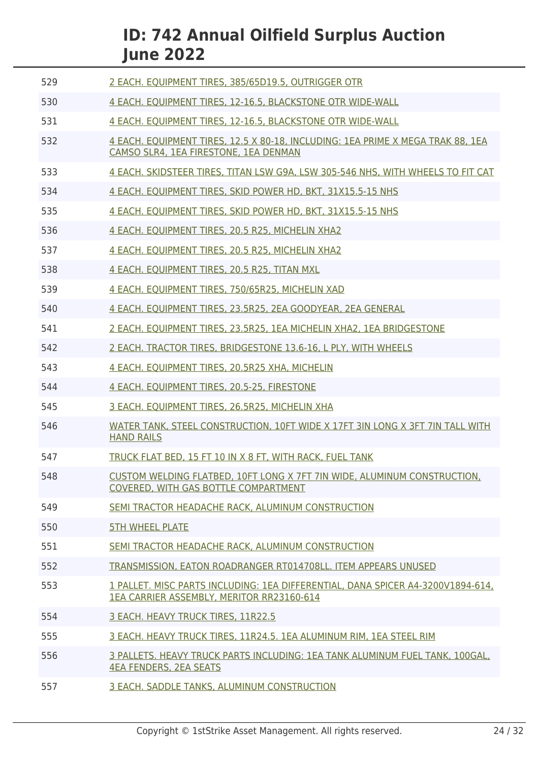| 529 | 2 EACH. EQUIPMENT TIRES, 385/65D19.5, OUTRIGGER OTR                                                                          |
|-----|------------------------------------------------------------------------------------------------------------------------------|
| 530 | 4 EACH. EQUIPMENT TIRES, 12-16.5, BLACKSTONE OTR WIDE-WALL                                                                   |
| 531 | 4 EACH. EQUIPMENT TIRES, 12-16.5, BLACKSTONE OTR WIDE-WALL                                                                   |
| 532 | 4 EACH. EOUIPMENT TIRES, 12.5 X 80-18, INCLUDING: 1EA PRIME X MEGA TRAK 88, 1EA<br>CAMSO SLR4, 1EA FIRESTONE, 1EA DENMAN     |
| 533 | 4 EACH. SKIDSTEER TIRES, TITAN LSW G9A, LSW 305-546 NHS, WITH WHEELS TO FIT CAT                                              |
| 534 | 4 EACH. EQUIPMENT TIRES, SKID POWER HD, BKT, 31X15.5-15 NHS                                                                  |
| 535 | 4 EACH. EQUIPMENT TIRES, SKID POWER HD, BKT, 31X15.5-15 NHS                                                                  |
| 536 | 4 EACH. EQUIPMENT TIRES, 20.5 R25, MICHELIN XHA2                                                                             |
| 537 | 4 EACH. EQUIPMENT TIRES, 20.5 R25, MICHELIN XHA2                                                                             |
| 538 | 4 EACH. EQUIPMENT TIRES, 20.5 R25, TITAN MXL                                                                                 |
| 539 | 4 EACH. EQUIPMENT TIRES, 750/65R25, MICHELIN XAD                                                                             |
| 540 | 4 EACH. EQUIPMENT TIRES, 23.5R25, 2EA GOODYEAR, 2EA GENERAL                                                                  |
| 541 | 2 EACH. EOUIPMENT TIRES, 23,5R25, 1EA MICHELIN XHA2, 1EA BRIDGESTONE                                                         |
| 542 | 2 EACH. TRACTOR TIRES, BRIDGESTONE 13.6-16, L PLY, WITH WHEELS                                                               |
| 543 | 4 EACH. EQUIPMENT TIRES, 20.5R25 XHA, MICHELIN                                                                               |
| 544 | 4 EACH. EQUIPMENT TIRES, 20.5-25, FIRESTONE                                                                                  |
| 545 | 3 EACH. EQUIPMENT TIRES, 26.5R25, MICHELIN XHA                                                                               |
| 546 | WATER TANK, STEEL CONSTRUCTION, 10FT WIDE X 17FT 3IN LONG X 3FT 7IN TALL WITH<br><b>HAND RAILS</b>                           |
| 547 | TRUCK FLAT BED, 15 FT 10 IN X 8 FT, WITH RACK, FUEL TANK                                                                     |
| 548 | CUSTOM WELDING FLATBED, 10FT LONG X 7FT 7IN WIDE, ALUMINUM CONSTRUCTION,<br>COVERED. WITH GAS BOTTLE COMPARTMENT             |
| 549 | SEMI TRACTOR HEADACHE RACK, ALUMINUM CONSTRUCTION                                                                            |
| 550 | <b>5TH WHEEL PLATE</b>                                                                                                       |
| 551 | SEMI TRACTOR HEADACHE RACK, ALUMINUM CONSTRUCTION                                                                            |
| 552 | TRANSMISSION, EATON ROADRANGER RT014708LL. ITEM APPEARS UNUSED                                                               |
| 553 | 1 PALLET. MISC PARTS INCLUDING: 1EA DIFFERENTIAL, DANA SPICER A4-3200V1894-614,<br>1EA CARRIER ASSEMBLY, MERITOR RR23160-614 |
| 554 | 3 EACH. HEAVY TRUCK TIRES, 11R22.5                                                                                           |
| 555 | 3 EACH. HEAVY TRUCK TIRES, 11R24.5. 1EA ALUMINUM RIM, 1EA STEEL RIM                                                          |
| 556 | 3 PALLETS. HEAVY TRUCK PARTS INCLUDING: 1EA TANK ALUMINUM FUEL TANK, 100GAL,<br><b>4EA FENDERS, 2EA SEATS</b>                |
| 557 | 3 EACH. SADDLE TANKS, ALUMINUM CONSTRUCTION                                                                                  |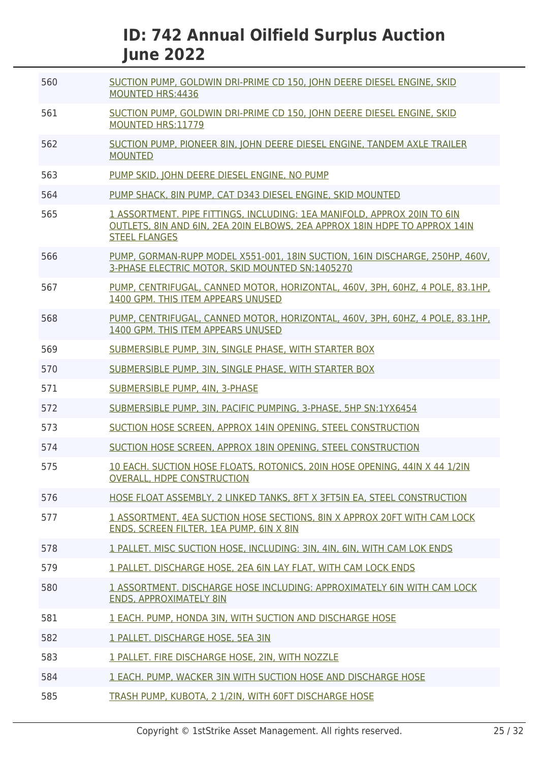| 560 | SUCTION PUMP, GOLDWIN DRI-PRIME CD 150, JOHN DEERE DIESEL ENGINE, SKID<br><b>MOUNTED HRS:4436</b>                                                                              |
|-----|--------------------------------------------------------------------------------------------------------------------------------------------------------------------------------|
| 561 | SUCTION PUMP, GOLDWIN DRI-PRIME CD 150, JOHN DEERE DIESEL ENGINE, SKID<br><b>MOUNTED HRS:11779</b>                                                                             |
| 562 | SUCTION PUMP, PIONEER 8IN, JOHN DEERE DIESEL ENGINE, TANDEM AXLE TRAILER<br><b>MOUNTED</b>                                                                                     |
| 563 | PUMP SKID, JOHN DEERE DIESEL ENGINE, NO PUMP                                                                                                                                   |
| 564 | PUMP SHACK, 8IN PUMP, CAT D343 DIESEL ENGINE, SKID MOUNTED                                                                                                                     |
| 565 | 1 ASSORTMENT. PIPE FITTINGS, INCLUDING: 1EA MANIFOLD, APPROX 20IN TO 6IN<br>OUTLETS, 8IN AND 6IN, 2EA 20IN ELBOWS, 2EA APPROX 18IN HDPE TO APPROX 14IN<br><b>STEEL FLANGES</b> |
| 566 | PUMP, GORMAN-RUPP MODEL X551-001, 18IN SUCTION, 16IN DISCHARGE, 250HP, 460V.<br>3-PHASE ELECTRIC MOTOR, SKID MOUNTED SN:1405270                                                |
| 567 | PUMP, CENTRIFUGAL, CANNED MOTOR, HORIZONTAL, 460V, 3PH, 60HZ, 4 POLE, 83.1HP,<br>1400 GPM. THIS ITEM APPEARS UNUSED                                                            |
| 568 | PUMP, CENTRIFUGAL, CANNED MOTOR, HORIZONTAL, 460V, 3PH, 60HZ, 4 POLE, 83.1HP,<br>1400 GPM. THIS ITEM APPEARS UNUSED                                                            |
| 569 | SUBMERSIBLE PUMP, 3IN, SINGLE PHASE, WITH STARTER BOX                                                                                                                          |
| 570 | SUBMERSIBLE PUMP, 3IN, SINGLE PHASE, WITH STARTER BOX                                                                                                                          |
| 571 | SUBMERSIBLE PUMP, 4IN, 3-PHASE                                                                                                                                                 |
| 572 | SUBMERSIBLE PUMP, 3IN, PACIFIC PUMPING, 3-PHASE, 5HP SN:1YX6454                                                                                                                |
| 573 | SUCTION HOSE SCREEN, APPROX 14IN OPENING, STEEL CONSTRUCTION                                                                                                                   |
| 574 | SUCTION HOSE SCREEN, APPROX 18IN OPENING, STEEL CONSTRUCTION                                                                                                                   |
| 575 | 10 EACH. SUCTION HOSE FLOATS, ROTONICS, 20IN HOSE OPENING, 44IN X 44 1/2IN<br>OVERALL. HDPE CONSTRUCTION                                                                       |
| 576 | HOSE FLOAT ASSEMBLY, 2 LINKED TANKS, 8FT X 3FT5IN EA, STEEL CONSTRUCTION                                                                                                       |
| 577 | 1 ASSORTMENT, 4EA SUCTION HOSE SECTIONS, 8IN X APPROX 20FT WITH CAM LOCK<br>ENDS, SCREEN FILTER, 1EA PUMP, 6IN X 8IN                                                           |
| 578 | 1 PALLET. MISC SUCTION HOSE, INCLUDING: 3IN, 4IN, 6IN, WITH CAM LOK ENDS                                                                                                       |
| 579 | 1 PALLET. DISCHARGE HOSE, 2EA 6IN LAY FLAT, WITH CAM LOCK ENDS                                                                                                                 |
| 580 | 1 ASSORTMENT. DISCHARGE HOSE INCLUDING: APPROXIMATELY 6IN WITH CAM LOCK<br><b>ENDS, APPROXIMATELY 8IN</b>                                                                      |
| 581 | 1 EACH. PUMP, HONDA 3IN, WITH SUCTION AND DISCHARGE HOSE                                                                                                                       |
| 582 | 1 PALLET. DISCHARGE HOSE, 5EA 3IN                                                                                                                                              |
| 583 | 1 PALLET. FIRE DISCHARGE HOSE, 2IN, WITH NOZZLE                                                                                                                                |
| 584 | 1 EACH, PUMP, WACKER 3IN WITH SUCTION HOSE AND DISCHARGE HOSE                                                                                                                  |
| 585 | TRASH PUMP, KUBOTA, 2 1/2IN, WITH 60FT DISCHARGE HOSE                                                                                                                          |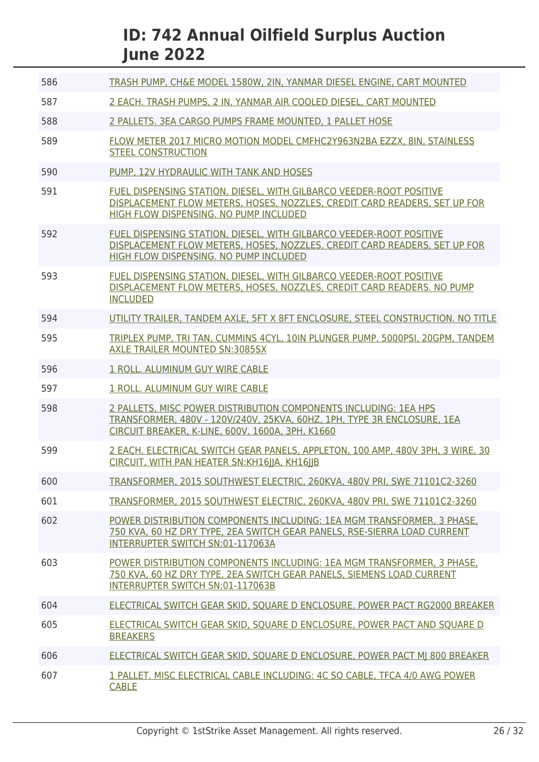| 586 | TRASH PUMP, CH&E MODEL 1580W, 2IN, YANMAR DIESEL ENGINE, CART MOUNTED                                                                                                                           |
|-----|-------------------------------------------------------------------------------------------------------------------------------------------------------------------------------------------------|
| 587 | 2 EACH. TRASH PUMPS, 2 IN, YANMAR AIR COOLED DIESEL, CART MOUNTED                                                                                                                               |
| 588 | 2 PALLETS. 3EA CARGO PUMPS FRAME MOUNTED, 1 PALLET HOSE                                                                                                                                         |
| 589 | FLOW METER 2017 MICRO MOTION MODEL CMFHC2Y963N2BA EZZX, 8IN, STAINLESS<br><b>STEEL CONSTRUCTION</b>                                                                                             |
| 590 | PUMP, 12V HYDRAULIC WITH TANK AND HOSES                                                                                                                                                         |
| 591 | FUEL DISPENSING STATION, DIESEL, WITH GILBARCO VEEDER-ROOT POSITIVE<br>DISPLACEMENT FLOW METERS, HOSES, NOZZLES, CREDIT CARD READERS, SET UP FOR<br>HIGH FLOW DISPENSING. NO PUMP INCLUDED      |
| 592 | FUEL DISPENSING STATION, DIESEL, WITH GILBARCO VEEDER-ROOT POSITIVE<br>DISPLACEMENT FLOW METERS, HOSES, NOZZLES, CREDIT CARD READERS, SET UP FOR<br>HIGH FLOW DISPENSING. NO PUMP INCLUDED      |
| 593 | FUEL DISPENSING STATION. DIESEL. WITH GILBARCO VEEDER-ROOT POSITIVE<br>DISPLACEMENT FLOW METERS, HOSES, NOZZLES, CREDIT CARD READERS. NO PUMP<br><b>INCLUDED</b>                                |
| 594 | UTILITY TRAILER, TANDEM AXLE, 5FT X 8FT ENCLOSURE, STEEL CONSTRUCTION. NO TITLE                                                                                                                 |
| 595 | TRIPLEX PUMP, TRI TAN, CUMMINS 4CYL, 10IN PLUNGER PUMP, 5000PSI, 20GPM, TANDEM<br><b>AXLE TRAILER MOUNTED SN:3085SX</b>                                                                         |
| 596 | 1 ROLL. ALUMINUM GUY WIRE CABLE                                                                                                                                                                 |
| 597 | 1 ROLL, ALUMINUM GUY WIRE CABLE                                                                                                                                                                 |
| 598 | 2 PALLETS, MISC POWER DISTRIBUTION COMPONENTS INCLUDING: 1EA HPS<br>TRANSFORMER, 480V - 120V/240V, 25KVA, 60HZ, 1PH, TYPE 3R ENCLOSURE, 1EA<br>CIRCUIT BREAKER, K-LINE, 600V, 1600A, 3PH, K1660 |
| 599 | 2 EACH. ELECTRICAL SWITCH GEAR PANELS, APPLETON, 100 AMP, 480V 3PH, 3 WIRE, 30<br>CIRCUIT, WITH PAN HEATER SN: KH16IIA, KH16IIB                                                                 |
| 600 | TRANSFORMER, 2015 SOUTHWEST ELECTRIC, 260KVA, 480V PRI, SWE 71101C2-3260                                                                                                                        |
| 601 | TRANSFORMER, 2015 SOUTHWEST ELECTRIC, 260KVA, 480V PRI, SWE 71101C2-3260                                                                                                                        |
| 602 | POWER DISTRIBUTION COMPONENTS INCLUDING: 1EA MGM TRANSFORMER, 3 PHASE,<br>750 KVA, 60 HZ DRY TYPE, 2EA SWITCH GEAR PANELS, RSE-SIERRA LOAD CURRENT<br>INTERRUPTER SWITCH SN:01-117063A          |
| 603 | POWER DISTRIBUTION COMPONENTS INCLUDING: 1EA MGM TRANSFORMER, 3 PHASE,<br>750 KVA, 60 HZ DRY TYPE, 2EA SWITCH GEAR PANELS, SIEMENS LOAD CURRENT<br>INTERRUPTER SWITCH SN:01-117063B             |
| 604 | ELECTRICAL SWITCH GEAR SKID, SQUARE D ENCLOSURE, POWER PACT RG2000 BREAKER                                                                                                                      |
| 605 | ELECTRICAL SWITCH GEAR SKID, SQUARE D ENCLOSURE, POWER PACT AND SQUARE D<br><b>BREAKERS</b>                                                                                                     |
| 606 | ELECTRICAL SWITCH GEAR SKID, SQUARE D ENCLOSURE, POWER PACT MJ 800 BREAKER                                                                                                                      |
| 607 | 1 PALLET. MISC ELECTRICAL CABLE INCLUDING: 4C SO CABLE, TFCA 4/0 AWG POWER<br><b>CABLE</b>                                                                                                      |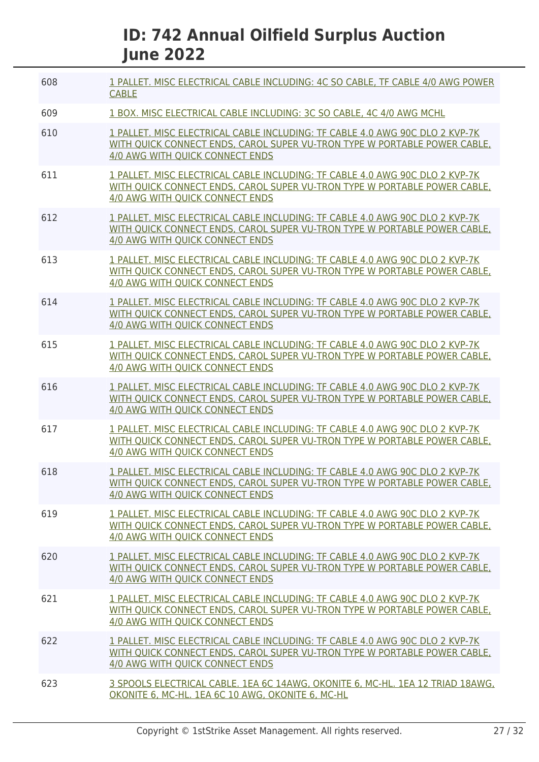| 608 | 1 PALLET. MISC ELECTRICAL CABLE INCLUDING: 4C SO CABLE, TF CABLE 4/0 AWG POWER<br><b>CABLE</b>                                                                                                      |
|-----|-----------------------------------------------------------------------------------------------------------------------------------------------------------------------------------------------------|
| 609 | 1 BOX. MISC ELECTRICAL CABLE INCLUDING: 3C SO CABLE, 4C 4/0 AWG MCHL                                                                                                                                |
| 610 | 1 PALLET. MISC ELECTRICAL CABLE INCLUDING: TF CABLE 4.0 AWG 90C DLO 2 KVP-7K<br>WITH QUICK CONNECT ENDS, CAROL SUPER VU-TRON TYPE W PORTABLE POWER CABLE,<br><b>4/0 AWG WITH QUICK CONNECT ENDS</b> |
| 611 | 1 PALLET. MISC ELECTRICAL CABLE INCLUDING: TF CABLE 4.0 AWG 90C DLO 2 KVP-7K<br>WITH OUICK CONNECT ENDS, CAROL SUPER VU-TRON TYPE W PORTABLE POWER CABLE,<br><b>4/0 AWG WITH OUICK CONNECT ENDS</b> |
| 612 | 1 PALLET. MISC ELECTRICAL CABLE INCLUDING: TF CABLE 4.0 AWG 90C DLO 2 KVP-7K<br>WITH QUICK CONNECT ENDS, CAROL SUPER VU-TRON TYPE W PORTABLE POWER CABLE,<br><b>4/0 AWG WITH OUICK CONNECT ENDS</b> |
| 613 | 1 PALLET. MISC ELECTRICAL CABLE INCLUDING: TF CABLE 4.0 AWG 90C DLO 2 KVP-7K<br>WITH QUICK CONNECT ENDS, CAROL SUPER VU-TRON TYPE W PORTABLE POWER CABLE,<br>4/0 AWG WITH QUICK CONNECT ENDS        |
| 614 | 1 PALLET. MISC ELECTRICAL CABLE INCLUDING: TF CABLE 4.0 AWG 90C DLO 2 KVP-7K<br>WITH OUICK CONNECT ENDS. CAROL SUPER VU-TRON TYPE W PORTABLE POWER CABLE.<br>4/0 AWG WITH QUICK CONNECT ENDS        |
| 615 | 1 PALLET. MISC ELECTRICAL CABLE INCLUDING: TF CABLE 4.0 AWG 90C DLO 2 KVP-7K<br>WITH OUICK CONNECT ENDS, CAROL SUPER VU-TRON TYPE W PORTABLE POWER CABLE.<br>4/0 AWG WITH QUICK CONNECT ENDS        |
| 616 | 1 PALLET. MISC ELECTRICAL CABLE INCLUDING: TF CABLE 4.0 AWG 90C DLO 2 KVP-7K<br>WITH QUICK CONNECT ENDS, CAROL SUPER VU-TRON TYPE W PORTABLE POWER CABLE,<br>4/0 AWG WITH QUICK CONNECT ENDS        |
| 617 | 1 PALLET. MISC ELECTRICAL CABLE INCLUDING: TF CABLE 4.0 AWG 90C DLO 2 KVP-7K<br>WITH QUICK CONNECT ENDS, CAROL SUPER VU-TRON TYPE W PORTABLE POWER CABLE,<br>4/0 AWG WITH QUICK CONNECT ENDS        |
| 618 | 1 PALLET, MISC ELECTRICAL CABLE INCLUDING: TF CABLE 4.0 AWG 90C DLO 2 KVP-7K<br>WITH QUICK CONNECT ENDS, CAROL SUPER VU-TRON TYPE W PORTABLE POWER CABLE,<br>4/0 AWG WITH OUICK CONNECT ENDS        |
| 619 | 1 PALLET. MISC ELECTRICAL CABLE INCLUDING: TF CABLE 4.0 AWG 90C DLO 2 KVP-7K<br>WITH QUICK CONNECT ENDS, CAROL SUPER VU-TRON TYPE W PORTABLE POWER CABLE,<br><b>4/0 AWG WITH OUICK CONNECT ENDS</b> |
| 620 | 1 PALLET. MISC ELECTRICAL CABLE INCLUDING: TF CABLE 4.0 AWG 90C DLO 2 KVP-7K<br>WITH QUICK CONNECT ENDS, CAROL SUPER VU-TRON TYPE W PORTABLE POWER CABLE,<br>4/0 AWG WITH QUICK CONNECT ENDS        |
| 621 | 1 PALLET. MISC ELECTRICAL CABLE INCLUDING: TF CABLE 4.0 AWG 90C DLO 2 KVP-7K<br>WITH OUICK CONNECT ENDS, CAROL SUPER VU-TRON TYPE W PORTABLE POWER CABLE,<br><b>4/0 AWG WITH QUICK CONNECT ENDS</b> |
| 622 | 1 PALLET. MISC ELECTRICAL CABLE INCLUDING: TF CABLE 4.0 AWG 90C DLO 2 KVP-7K<br>WITH OUICK CONNECT ENDS, CAROL SUPER VU-TRON TYPE W PORTABLE POWER CABLE.<br>4/0 AWG WITH QUICK CONNECT ENDS        |
| 623 | 3 SPOOLS ELECTRICAL CABLE. 1EA 6C 14AWG, OKONITE 6, MC-HL. 1EA 12 TRIAD 18AWG.<br>OKONITE 6, MC-HL. 1EA 6C 10 AWG, OKONITE 6, MC-HL                                                                 |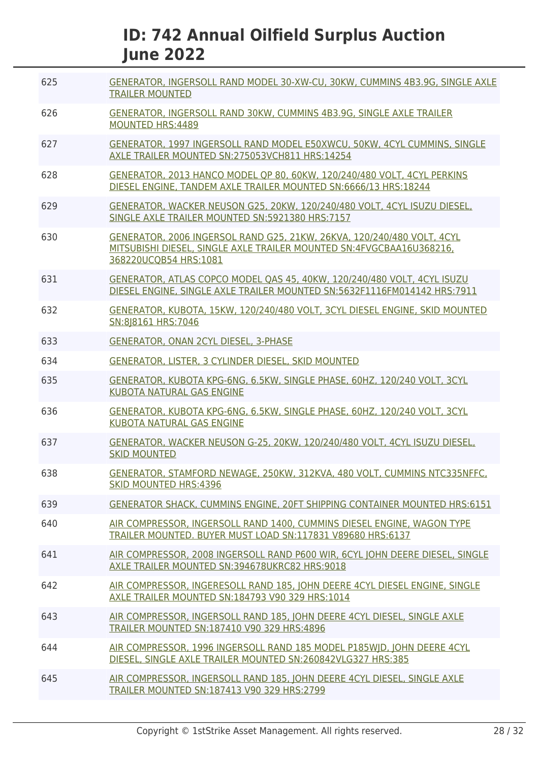| 625 | GENERATOR, INGERSOLL RAND MODEL 30-XW-CU, 30KW, CUMMINS 4B3.9G, SINGLE AXLE<br><b>TRAILER MOUNTED</b>                                                                    |
|-----|--------------------------------------------------------------------------------------------------------------------------------------------------------------------------|
| 626 | GENERATOR, INGERSOLL RAND 30KW, CUMMINS 4B3.9G, SINGLE AXLE TRAILER<br><b>MOUNTED HRS:4489</b>                                                                           |
| 627 | GENERATOR, 1997 INGERSOLL RAND MODEL E50XWCU, 50KW, 4CYL CUMMINS, SINGLE<br>AXLE TRAILER MOUNTED SN:275053VCH811 HRS:14254                                               |
| 628 | GENERATOR, 2013 HANCO MODEL OP 80, 60KW, 120/240/480 VOLT, 4CYL PERKINS<br>DIESEL ENGINE, TANDEM AXLE TRAILER MOUNTED SN:6666/13 HRS:18244                               |
| 629 | GENERATOR, WACKER NEUSON G25, 20KW, 120/240/480 VOLT, 4CYL ISUZU DIESEL,<br>SINGLE AXLE TRAILER MOUNTED SN:5921380 HRS:7157                                              |
| 630 | GENERATOR, 2006 INGERSOL RAND G25, 21KW, 26KVA, 120/240/480 VOLT, 4CYL<br>MITSUBISHI DIESEL, SINGLE AXLE TRAILER MOUNTED SN: 4FVGCBAA16U368216,<br>368220UCQB54 HRS:1081 |
| 631 | GENERATOR, ATLAS COPCO MODEL OAS 45, 40KW, 120/240/480 VOLT, 4CYL ISUZU<br>DIESEL ENGINE, SINGLE AXLE TRAILER MOUNTED SN:5632F1116FM014142 HRS:7911                      |
| 632 | GENERATOR, KUBOTA, 15KW, 120/240/480 VOLT, 3CYL DIESEL ENGINE, SKID MOUNTED<br>SN:818161 HRS:7046                                                                        |
| 633 | GENERATOR, ONAN 2CYL DIESEL, 3-PHASE                                                                                                                                     |
| 634 | GENERATOR, LISTER, 3 CYLINDER DIESEL, SKID MOUNTED                                                                                                                       |
| 635 | GENERATOR, KUBOTA KPG-6NG, 6.5KW, SINGLE PHASE, 60HZ, 120/240 VOLT, 3CYL<br><b>KUBOTA NATURAL GAS ENGINE</b>                                                             |
| 636 | GENERATOR, KUBOTA KPG-6NG, 6.5KW, SINGLE PHASE, 60HZ, 120/240 VOLT, 3CYL<br><b>KUBOTA NATURAL GAS ENGINE</b>                                                             |
| 637 | GENERATOR, WACKER NEUSON G-25, 20KW, 120/240/480 VOLT, 4CYL ISUZU DIESEL,<br><b>SKID MOUNTED</b>                                                                         |
| 638 | GENERATOR, STAMFORD NEWAGE, 250KW, 312KVA, 480 VOLT, CUMMINS NTC335NFFC,<br><b>SKID MOUNTED HRS:4396</b>                                                                 |
| 639 | <b>GENERATOR SHACK, CUMMINS ENGINE, 20FT SHIPPING CONTAINER MOUNTED HRS:6151</b>                                                                                         |
| 640 | AIR COMPRESSOR, INGERSOLL RAND 1400, CUMMINS DIESEL ENGINE, WAGON TYPE<br>TRAILER MOUNTED, BUYER MUST LOAD SN:117831 V89680 HRS:6137                                     |
| 641 | AIR COMPRESSOR, 2008 INGERSOLL RAND P600 WIR, 6CYL JOHN DEERE DIESEL, SINGLE<br>AXLE TRAILER MOUNTED SN:394678UKRC82 HRS:9018                                            |
| 642 | AIR COMPRESSOR, INGERESOLL RAND 185, JOHN DEERE 4CYL DIESEL ENGINE, SINGLE<br>AXLE TRAILER MOUNTED SN:184793 V90 329 HRS:1014                                            |
| 643 | AIR COMPRESSOR, INGERSOLL RAND 185, JOHN DEERE 4CYL DIESEL, SINGLE AXLE<br>TRAILER MOUNTED SN:187410 V90 329 HRS:4896                                                    |
| 644 | AIR COMPRESSOR, 1996 INGERSOLL RAND 185 MODEL P185WJD, JOHN DEERE 4CYL<br>DIESEL, SINGLE AXLE TRAILER MOUNTED SN:260842VLG327 HRS:385                                    |
| 645 | AIR COMPRESSOR, INGERSOLL RAND 185, JOHN DEERE 4CYL DIESEL, SINGLE AXLE<br><b>TRAILER MOUNTED SN:187413 V90 329 HRS:2799</b>                                             |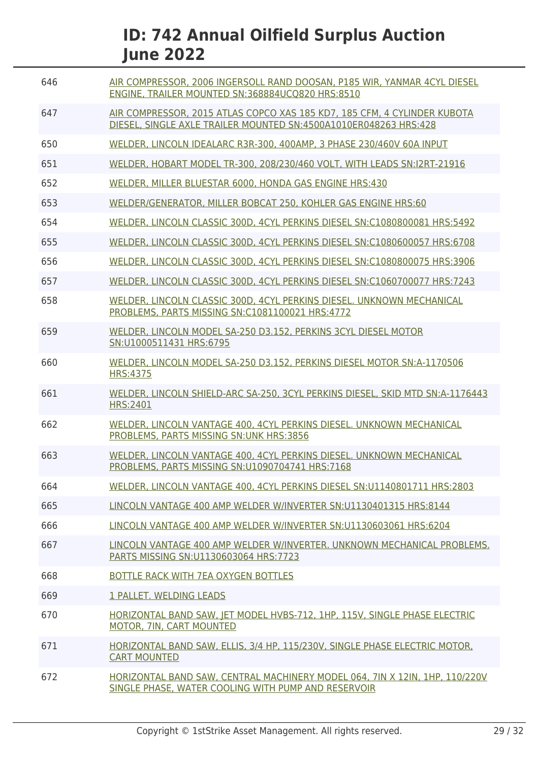| 646 | AIR COMPRESSOR, 2006 INGERSOLL RAND DOOSAN, P185 WIR, YANMAR 4CYL DIESEL<br>ENGINE, TRAILER MOUNTED SN:368884UCQ820 HRS:8510                 |
|-----|----------------------------------------------------------------------------------------------------------------------------------------------|
| 647 | AIR COMPRESSOR, 2015 ATLAS COPCO XAS 185 KD7, 185 CFM, 4 CYLINDER KUBOTA<br>DIESEL, SINGLE AXLE TRAILER MOUNTED SN:4500A1010ER048263 HRS:428 |
| 650 | WELDER, LINCOLN IDEALARC R3R-300, 400AMP, 3 PHASE 230/460V 60A INPUT                                                                         |
| 651 | WELDER, HOBART MODEL TR-300, 208/230/460 VOLT, WITH LEADS SN: 12RT-21916                                                                     |
| 652 | WELDER, MILLER BLUESTAR 6000, HONDA GAS ENGINE HRS:430                                                                                       |
| 653 | WELDER/GENERATOR, MILLER BOBCAT 250, KOHLER GAS ENGINE HRS:60                                                                                |
| 654 | WELDER, LINCOLN CLASSIC 300D, 4CYL PERKINS DIESEL SN:C1080800081 HRS:5492                                                                    |
| 655 | WELDER, LINCOLN CLASSIC 300D, 4CYL PERKINS DIESEL SN:C1080600057 HRS:6708                                                                    |
| 656 | WELDER, LINCOLN CLASSIC 300D, 4CYL PERKINS DIESEL SN:C1080800075 HRS:3906                                                                    |
| 657 | WELDER, LINCOLN CLASSIC 300D, 4CYL PERKINS DIESEL SN:C1060700077 HRS:7243                                                                    |
| 658 | WELDER, LINCOLN CLASSIC 300D, 4CYL PERKINS DIESEL. UNKNOWN MECHANICAL<br>PROBLEMS, PARTS MISSING SN:C1081100021 HRS:4772                     |
| 659 | WELDER, LINCOLN MODEL SA-250 D3.152, PERKINS 3CYL DIESEL MOTOR<br>SN:U1000511431 HRS:6795                                                    |
| 660 | WELDER, LINCOLN MODEL SA-250 D3.152, PERKINS DIESEL MOTOR SN:A-1170506<br><b>HRS:4375</b>                                                    |
| 661 | WELDER, LINCOLN SHIELD-ARC SA-250, 3CYL PERKINS DIESEL, SKID MTD SN:A-1176443<br><b>HRS:2401</b>                                             |
| 662 | WELDER, LINCOLN VANTAGE 400, 4CYL PERKINS DIESEL. UNKNOWN MECHANICAL<br>PROBLEMS, PARTS MISSING SN: UNK HRS: 3856                            |
| 663 | WELDER, LINCOLN VANTAGE 400, 4CYL PERKINS DIESEL. UNKNOWN MECHANICAL<br>PROBLEMS, PARTS MISSING SN:U1090704741 HRS:7168                      |
| 664 | WELDER, LINCOLN VANTAGE 400, 4CYL PERKINS DIESEL SN: U1140801711 HRS: 2803                                                                   |
| 665 | LINCOLN VANTAGE 400 AMP WELDER W/INVERTER SN:U1130401315 HRS:8144                                                                            |
| 666 | LINCOLN VANTAGE 400 AMP WELDER W/INVERTER SN:U1130603061 HRS:6204                                                                            |
| 667 | LINCOLN VANTAGE 400 AMP WELDER W/INVERTER. UNKNOWN MECHANICAL PROBLEMS.<br>PARTS MISSING SN:U1130603064 HRS:7723                             |
| 668 | BOTTLE RACK WITH 7EA OXYGEN BOTTLES                                                                                                          |
| 669 | 1 PALLET. WELDING LEADS                                                                                                                      |
| 670 | HORIZONTAL BAND SAW, JET MODEL HVBS-712, 1HP, 115V, SINGLE PHASE ELECTRIC<br>MOTOR, 7IN, CART MOUNTED                                        |
| 671 | HORIZONTAL BAND SAW, ELLIS, 3/4 HP, 115/230V, SINGLE PHASE ELECTRIC MOTOR,<br><b>CART MOUNTED</b>                                            |
| 672 | HORIZONTAL BAND SAW, CENTRAL MACHINERY MODEL 064, 7IN X 12IN, 1HP, 110/220V<br>SINGLE PHASE, WATER COOLING WITH PUMP AND RESERVOIR           |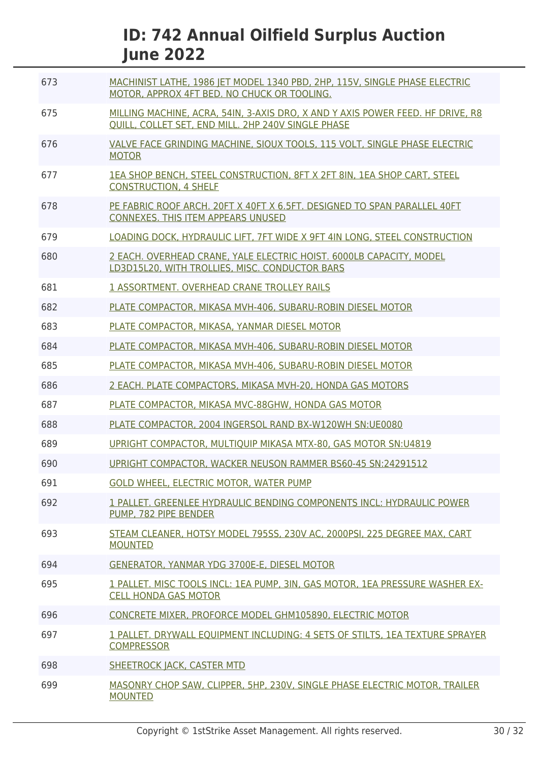| 673 | MACHINIST LATHE, 1986 JET MODEL 1340 PBD, 2HP, 115V, SINGLE PHASE ELECTRIC<br>MOTOR, APPROX 4FT BED. NO CHUCK OR TOOLING.            |
|-----|--------------------------------------------------------------------------------------------------------------------------------------|
| 675 | MILLING MACHINE, ACRA, 54IN, 3-AXIS DRO, X AND Y AXIS POWER FEED. HF DRIVE, R8<br>QUILL, COLLET SET, END MILL. 2HP 240V SINGLE PHASE |
| 676 | VALVE FACE GRINDING MACHINE, SIOUX TOOLS, 115 VOLT, SINGLE PHASE ELECTRIC<br><b>MOTOR</b>                                            |
| 677 | 1EA SHOP BENCH, STEEL CONSTRUCTION, 8FT X 2FT 8IN, 1EA SHOP CART, STEEL<br><b>CONSTRUCTION, 4 SHELF</b>                              |
| 678 | PE FABRIC ROOF ARCH. 20FT X 40FT X 6.5FT. DESIGNED TO SPAN PARALLEL 40FT<br><b>CONNEXES. THIS ITEM APPEARS UNUSED</b>                |
| 679 | LOADING DOCK, HYDRAULIC LIFT, 7FT WIDE X 9FT 4IN LONG, STEEL CONSTRUCTION                                                            |
| 680 | 2 EACH, OVERHEAD CRANE, YALE ELECTRIC HOIST, 6000LB CAPACITY, MODEL<br>LD3D15L20, WITH TROLLIES, MISC. CONDUCTOR BARS                |
| 681 | 1 ASSORTMENT, OVERHEAD CRANE TROLLEY RAILS                                                                                           |
| 682 | PLATE COMPACTOR, MIKASA MVH-406, SUBARU-ROBIN DIESEL MOTOR                                                                           |
| 683 | PLATE COMPACTOR, MIKASA, YANMAR DIESEL MOTOR                                                                                         |
| 684 | PLATE COMPACTOR, MIKASA MVH-406, SUBARU-ROBIN DIESEL MOTOR                                                                           |
| 685 | PLATE COMPACTOR, MIKASA MVH-406, SUBARU-ROBIN DIESEL MOTOR                                                                           |
| 686 | 2 EACH. PLATE COMPACTORS, MIKASA MVH-20, HONDA GAS MOTORS                                                                            |
| 687 | PLATE COMPACTOR, MIKASA MVC-88GHW, HONDA GAS MOTOR                                                                                   |
| 688 | PLATE COMPACTOR, 2004 INGERSOL RAND BX-W120WH SN:UE0080                                                                              |
| 689 | UPRIGHT COMPACTOR, MULTIOUIP MIKASA MTX-80, GAS MOTOR SN:U4819                                                                       |
| 690 | UPRIGHT COMPACTOR, WACKER NEUSON RAMMER BS60-45 SN:24291512                                                                          |
| 691 | <b>GOLD WHEEL, ELECTRIC MOTOR, WATER PUMP</b>                                                                                        |
| 692 | 1 PALLET. GREENLEE HYDRAULIC BENDING COMPONENTS INCL: HYDRAULIC POWER<br>PUMP. 782 PIPE BENDER                                       |
| 693 | STEAM CLEANER, HOTSY MODEL 795SS, 230V AC, 2000PSI, 225 DEGREE MAX, CART<br><b>MOUNTED</b>                                           |
| 694 | <b>GENERATOR, YANMAR YDG 3700E-E, DIESEL MOTOR</b>                                                                                   |
| 695 | 1 PALLET. MISC TOOLS INCL: 1EA PUMP, 3IN, GAS MOTOR, 1EA PRESSURE WASHER EX-<br><b>CELL HONDA GAS MOTOR</b>                          |
| 696 | CONCRETE MIXER, PROFORCE MODEL GHM105890, ELECTRIC MOTOR                                                                             |
| 697 | 1 PALLET. DRYWALL EQUIPMENT INCLUDING: 4 SETS OF STILTS, 1EA TEXTURE SPRAYER<br><b>COMPRESSOR</b>                                    |
| 698 | <b>SHEETROCK JACK, CASTER MTD</b>                                                                                                    |
| 699 | MASONRY CHOP SAW, CLIPPER, 5HP, 230V, SINGLE PHASE ELECTRIC MOTOR, TRAILER<br><b>MOUNTED</b>                                         |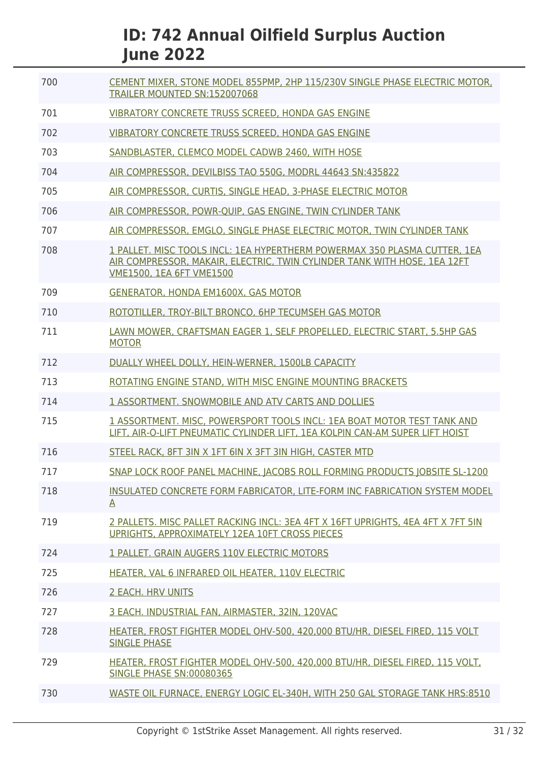| 700 | CEMENT MIXER, STONE MODEL 855PMP, 2HP 115/230V SINGLE PHASE ELECTRIC MOTOR,<br>TRAILER MOUNTED SN:152007068                                                                              |
|-----|------------------------------------------------------------------------------------------------------------------------------------------------------------------------------------------|
| 701 | VIBRATORY CONCRETE TRUSS SCREED, HONDA GAS ENGINE                                                                                                                                        |
| 702 | <b>VIBRATORY CONCRETE TRUSS SCREED. HONDA GAS ENGINE</b>                                                                                                                                 |
| 703 | SANDBLASTER, CLEMCO MODEL CADWB 2460, WITH HOSE                                                                                                                                          |
| 704 | AIR COMPRESSOR, DEVILBISS TAO 550G, MODRL 44643 SN:435822                                                                                                                                |
| 705 | AIR COMPRESSOR, CURTIS, SINGLE HEAD, 3-PHASE ELECTRIC MOTOR                                                                                                                              |
| 706 | AIR COMPRESSOR, POWR-QUIP, GAS ENGINE, TWIN CYLINDER TANK                                                                                                                                |
| 707 | AIR COMPRESSOR, EMGLO, SINGLE PHASE ELECTRIC MOTOR, TWIN CYLINDER TANK                                                                                                                   |
| 708 | 1 PALLET. MISC TOOLS INCL: 1EA HYPERTHERM POWERMAX 350 PLASMA CUTTER, 1EA<br>AIR COMPRESSOR, MAKAIR, ELECTRIC, TWIN CYLINDER TANK WITH HOSE, 1EA 12FT<br><b>VME1500, 1EA 6FT VME1500</b> |
| 709 | <b>GENERATOR, HONDA EM1600X, GAS MOTOR</b>                                                                                                                                               |
| 710 | ROTOTILLER, TROY-BILT BRONCO, 6HP TECUMSEH GAS MOTOR                                                                                                                                     |
| 711 | LAWN MOWER, CRAFTSMAN EAGER 1, SELF PROPELLED, ELECTRIC START, 5.5HP GAS<br><b>MOTOR</b>                                                                                                 |
| 712 | DUALLY WHEEL DOLLY, HEIN-WERNER, 1500LB CAPACITY                                                                                                                                         |
| 713 | ROTATING ENGINE STAND, WITH MISC ENGINE MOUNTING BRACKETS                                                                                                                                |
| 714 | 1 ASSORTMENT. SNOWMOBILE AND ATV CARTS AND DOLLIES                                                                                                                                       |
| 715 | 1 ASSORTMENT, MISC, POWERSPORT TOOLS INCL: 1EA BOAT MOTOR TEST TANK AND<br>LIFT, AIR-O-LIFT PNEUMATIC CYLINDER LIFT, 1EA KOLPIN CAN-AM SUPER LIFT HOIST                                  |
| 716 | STEEL RACK, 8FT 3IN X 1FT 6IN X 3FT 3IN HIGH, CASTER MTD                                                                                                                                 |
| 717 | SNAP LOCK ROOF PANEL MACHINE, JACOBS ROLL FORMING PRODUCTS JOBSITE SL-1200                                                                                                               |
| 718 | INSULATED CONCRETE FORM FABRICATOR, LITE-FORM INC FABRICATION SYSTEM MODEL<br>A                                                                                                          |
| 719 | 2 PALLETS. MISC PALLET RACKING INCL: 3EA 4FT X 16FT UPRIGHTS, 4EA 4FT X 7FT 5IN<br>UPRIGHTS, APPROXIMATELY 12EA 10FT CROSS PIECES                                                        |
| 724 | 1 PALLET. GRAIN AUGERS 110V ELECTRIC MOTORS                                                                                                                                              |
| 725 | HEATER, VAL 6 INFRARED OIL HEATER, 110V ELECTRIC                                                                                                                                         |
| 726 | <b>2 EACH. HRV UNITS</b>                                                                                                                                                                 |
| 727 | 3 EACH. INDUSTRIAL FAN, AIRMASTER, 32IN, 120VAC                                                                                                                                          |
| 728 | HEATER, FROST FIGHTER MODEL OHV-500, 420,000 BTU/HR, DIESEL FIRED, 115 VOLT<br><b>SINGLE PHASE</b>                                                                                       |
| 729 | HEATER, FROST FIGHTER MODEL OHV-500, 420,000 BTU/HR, DIESEL FIRED, 115 VOLT,<br><b>SINGLE PHASE SN:00080365</b>                                                                          |
| 730 | WASTE OIL FURNACE, ENERGY LOGIC EL-340H, WITH 250 GAL STORAGE TANK HRS:8510                                                                                                              |